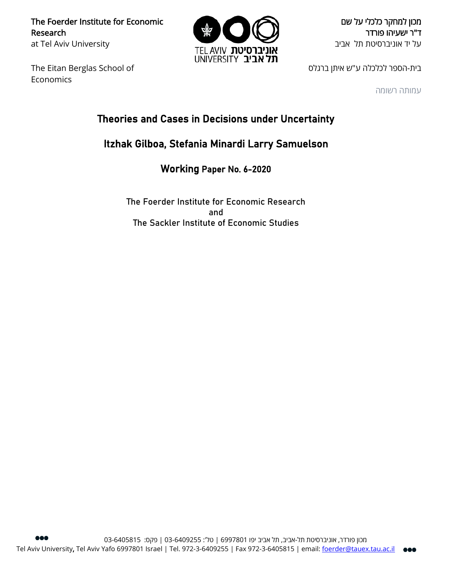The Foerder Institute for Economic Research at Tel Aviv University

The Eitan Berglas School of Economics



מכון למחקר כלכלי על שם ד"ר ישעיהו פורדר על יד אוניברסיטת תל אביב

בית-הספר לכלכלה ע"ש איתן ברגלס

עמותה רשומה

# Theories and Cases in Decisions under Uncertainty

# Itzhak Gilboa, Stefania Minardi Larry Samuelson

Working Paper No. 6-2020

The Foerder Institute for Economic Research and The Sackler Institute of Economic Studies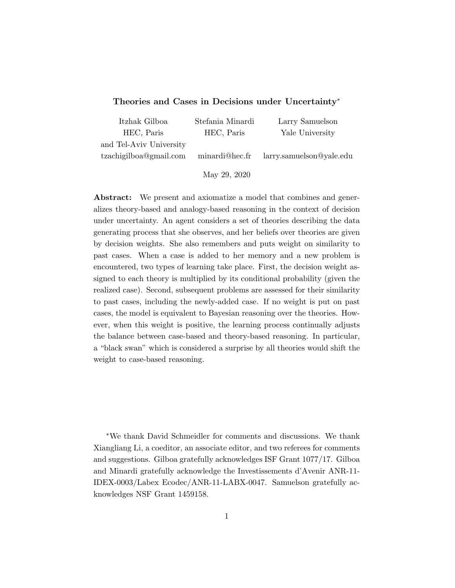### Theories and Cases in Decisions under Uncertainty<sup>∗</sup>

| Itzhak Gilboa           | Stefania Minardi | Larry Samuelson          |
|-------------------------|------------------|--------------------------|
| HEC, Paris              | HEC, Paris       | Yale University          |
| and Tel-Aviv University |                  |                          |
| tzachigilboa@gmail.com  | minardi@hec.fr   | larry.samuelson@yale.edu |
|                         |                  |                          |

May 29, 2020

Abstract: We present and axiomatize a model that combines and generalizes theory-based and analogy-based reasoning in the context of decision under uncertainty. An agent considers a set of theories describing the data generating process that she observes, and her beliefs over theories are given by decision weights. She also remembers and puts weight on similarity to past cases. When a case is added to her memory and a new problem is encountered, two types of learning take place. First, the decision weight assigned to each theory is multiplied by its conditional probability (given the realized case). Second, subsequent problems are assessed for their similarity to past cases, including the newly-added case. If no weight is put on past cases, the model is equivalent to Bayesian reasoning over the theories. However, when this weight is positive, the learning process continually adjusts the balance between case-based and theory-based reasoning. In particular, a "black swan" which is considered a surprise by all theories would shift the weight to case-based reasoning.

<sup>∗</sup>We thank David Schmeidler for comments and discussions. We thank Xiangliang Li, a coeditor, an associate editor, and two referees for comments and suggestions. Gilboa gratefully acknowledges ISF Grant 1077/17. Gilboa and Minardi gratefully acknowledge the Investissements d'Avenir ANR-11- IDEX-0003/Labex Ecodec/ANR-11-LABX-0047. Samuelson gratefully acknowledges NSF Grant 1459158.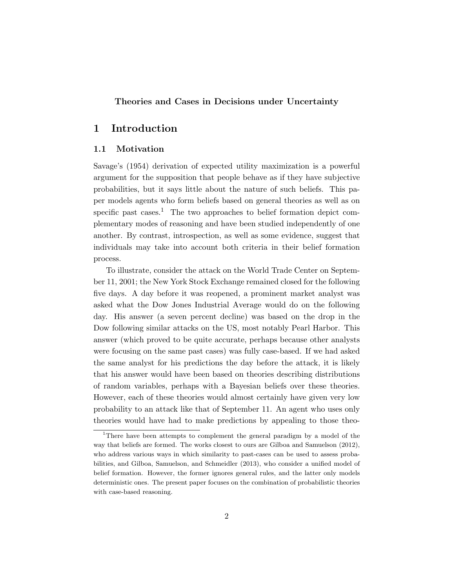## Theories and Cases in Decisions under Uncertainty

# 1 Introduction

## 1.1 Motivation

Savage's (1954) derivation of expected utility maximization is a powerful argument for the supposition that people behave as if they have subjective probabilities, but it says little about the nature of such beliefs. This paper models agents who form beliefs based on general theories as well as on specific past cases.<sup>1</sup> The two approaches to belief formation depict complementary modes of reasoning and have been studied independently of one another. By contrast, introspection, as well as some evidence, suggest that individuals may take into account both criteria in their belief formation process.

To illustrate, consider the attack on the World Trade Center on September 11, 2001; the New York Stock Exchange remained closed for the following five days. A day before it was reopened, a prominent market analyst was asked what the Dow Jones Industrial Average would do on the following day. His answer (a seven percent decline) was based on the drop in the Dow following similar attacks on the US, most notably Pearl Harbor. This answer (which proved to be quite accurate, perhaps because other analysts were focusing on the same past cases) was fully case-based. If we had asked the same analyst for his predictions the day before the attack, it is likely that his answer would have been based on theories describing distributions of random variables, perhaps with a Bayesian beliefs over these theories. However, each of these theories would almost certainly have given very low probability to an attack like that of September 11. An agent who uses only theories would have had to make predictions by appealing to those theo-

<sup>&</sup>lt;sup>1</sup>There have been attempts to complement the general paradigm by a model of the way that beliefs are formed. The works closest to ours are Gilboa and Samuelson (2012), who address various ways in which similarity to past-cases can be used to assess probabilities, and Gilboa, Samuelson, and Schmeidler (2013), who consider a unified model of belief formation. However, the former ignores general rules, and the latter only models deterministic ones. The present paper focuses on the combination of probabilistic theories with case-based reasoning.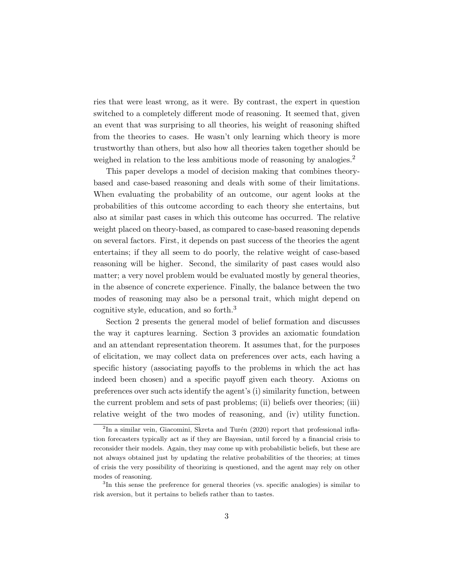ries that were least wrong, as it were. By contrast, the expert in question switched to a completely different mode of reasoning. It seemed that, given an event that was surprising to all theories, his weight of reasoning shifted from the theories to cases. He wasn't only learning which theory is more trustworthy than others, but also how all theories taken together should be weighed in relation to the less ambitious mode of reasoning by analogies.<sup>2</sup>

This paper develops a model of decision making that combines theorybased and case-based reasoning and deals with some of their limitations. When evaluating the probability of an outcome, our agent looks at the probabilities of this outcome according to each theory she entertains, but also at similar past cases in which this outcome has occurred. The relative weight placed on theory-based, as compared to case-based reasoning depends on several factors. First, it depends on past success of the theories the agent entertains; if they all seem to do poorly, the relative weight of case-based reasoning will be higher. Second, the similarity of past cases would also matter; a very novel problem would be evaluated mostly by general theories, in the absence of concrete experience. Finally, the balance between the two modes of reasoning may also be a personal trait, which might depend on cognitive style, education, and so forth.<sup>3</sup>

Section 2 presents the general model of belief formation and discusses the way it captures learning. Section 3 provides an axiomatic foundation and an attendant representation theorem. It assumes that, for the purposes of elicitation, we may collect data on preferences over acts, each having a specific history (associating payoffs to the problems in which the act has indeed been chosen) and a specific payoff given each theory. Axioms on preferences over such acts identify the agent's (i) similarity function, between the current problem and sets of past problems; (ii) beliefs over theories; (iii) relative weight of the two modes of reasoning, and (iv) utility function.

 ${}^{2}$ In a similar vein, Giacomini, Skreta and Turén (2020) report that professional inflation forecasters typically act as if they are Bayesian, until forced by a financial crisis to reconsider their models. Again, they may come up with probabilistic beliefs, but these are not always obtained just by updating the relative probabilities of the theories; at times of crisis the very possibility of theorizing is questioned, and the agent may rely on other modes of reasoning.

<sup>&</sup>lt;sup>3</sup>In this sense the preference for general theories (vs. specific analogies) is similar to risk aversion, but it pertains to beliefs rather than to tastes.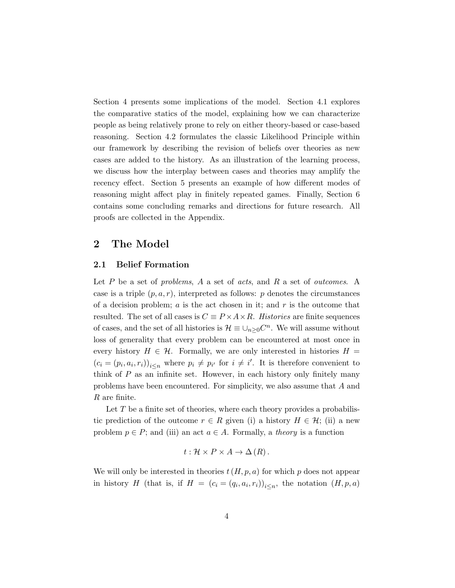Section 4 presents some implications of the model. Section 4.1 explores the comparative statics of the model, explaining how we can characterize people as being relatively prone to rely on either theory-based or case-based reasoning. Section 4.2 formulates the classic Likelihood Principle within our framework by describing the revision of beliefs over theories as new cases are added to the history. As an illustration of the learning process, we discuss how the interplay between cases and theories may amplify the recency effect. Section 5 presents an example of how different modes of reasoning might affect play in finitely repeated games. Finally, Section 6 contains some concluding remarks and directions for future research. All proofs are collected in the Appendix.

# 2 The Model

### 2.1 Belief Formation

Let  $P$  be a set of problems,  $A$  a set of acts, and  $R$  a set of outcomes. A case is a triple  $(p, a, r)$ , interpreted as follows: p denotes the circumstances of a decision problem;  $a$  is the act chosen in it; and  $r$  is the outcome that resulted. The set of all cases is  $C \equiv P \times A \times R$ . Histories are finite sequences of cases, and the set of all histories is  $\mathcal{H} \equiv \cup_{n \geq 0} C^n$ . We will assume without loss of generality that every problem can be encountered at most once in every history  $H \in \mathcal{H}$ . Formally, we are only interested in histories  $H =$  $(c_i = (p_i, a_i, r_i))_{i \leq n}$  where  $p_i \neq p_{i'}$  for  $i \neq i'$ . It is therefore convenient to think of P as an infinite set. However, in each history only finitely many problems have been encountered. For simplicity, we also assume that A and R are finite.

Let  $T$  be a finite set of theories, where each theory provides a probabilistic prediction of the outcome  $r \in R$  given (i) a history  $H \in \mathcal{H}$ ; (ii) a new problem  $p \in P$ ; and (iii) an act  $a \in A$ . Formally, a *theory* is a function

$$
t: \mathcal{H} \times P \times A \to \Delta(R).
$$

We will only be interested in theories  $t(H, p, a)$  for which p does not appear in history H (that is, if  $H = (c_i = (q_i, a_i, r_i))_{i \leq n}$ , the notation  $(H, p, a)$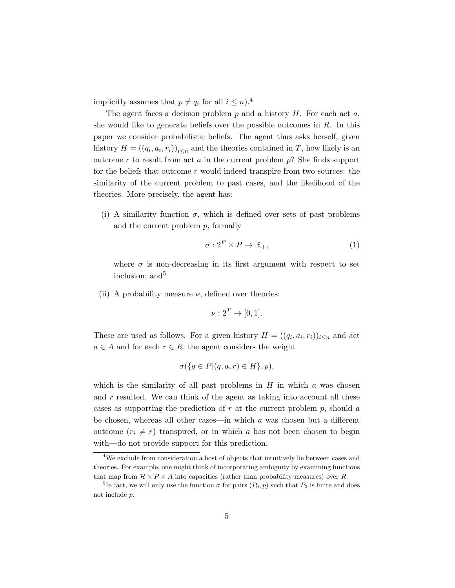implicitly assumes that  $p \neq q_i$  for all  $i \leq n$ .<sup>4</sup>

The agent faces a decision problem  $p$  and a history  $H$ . For each act  $a$ , she would like to generate beliefs over the possible outcomes in  $R$ . In this paper we consider probabilistic beliefs. The agent thus asks herself, given history  $H = ((q_i, a_i, r_i))_{i \leq n}$  and the theories contained in T, how likely is an outcome r to result from act a in the current problem  $p$ ? She finds support for the beliefs that outcome  $r$  would indeed transpire from two sources: the similarity of the current problem to past cases, and the likelihood of the theories. More precisely, the agent has:

(i) A similarity function  $\sigma$ , which is defined over sets of past problems and the current problem  $p$ , formally

$$
\sigma: 2^P \times P \to \mathbb{R}_+, \tag{1}
$$

where  $\sigma$  is non-decreasing in its first argument with respect to set inclusion; and  $5$ 

(ii) A probability measure  $\nu$ , defined over theories:

$$
\nu: 2^T \to [0,1].
$$

These are used as follows. For a given history  $H = ((q_i, a_i, r_i))_{i \leq n}$  and act  $a \in A$  and for each  $r \in R$ , the agent considers the weight

$$
\sigma({q \in P | (q, a, r) \in H}, p),
$$

which is the similarity of all past problems in  $H$  in which  $a$  was chosen and  $r$  resulted. We can think of the agent as taking into account all these cases as supporting the prediction of r at the current problem  $p$ , should a be chosen, whereas all other cases—in which a was chosen but a different outcome  $(r_i \neq r)$  transpired, or in which a has not been chosen to begin with—do not provide support for this prediction.

 ${}^{4}{\rm We}$  exclude from consideration a host of objects that intuitively lie between cases and theories. For example, one might think of incorporating ambiguity by examining functions that map from  $\mathcal{H} \times P \times A$  into capacities (rather than probability measures) over R.

<sup>&</sup>lt;sup>5</sup>In fact, we will only use the function  $\sigma$  for pairs  $(P_0, p)$  such that  $P_0$  is finite and does not include p.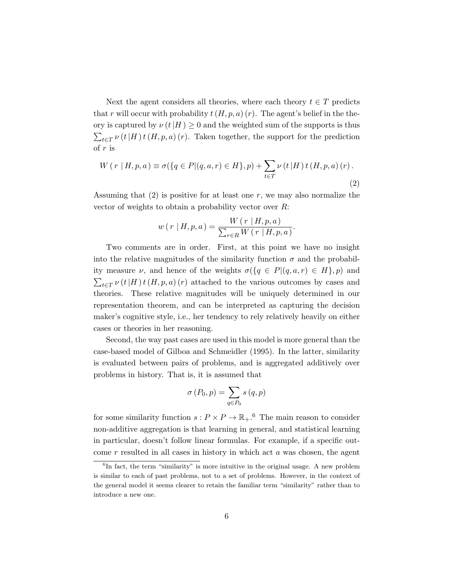Next the agent considers all theories, where each theory  $t \in T$  predicts that r will occur with probability  $t(H, p, a)(r)$ . The agent's belief in the theory is captured by  $\nu(t|H) \geq 0$  and the weighted sum of the supports is thus  $\sum_{t\in T} \nu(t|H) t(H, p, a)$  (r). Taken together, the support for the prediction of r is

$$
W(r | H, p, a) \equiv \sigma(\{q \in P | (q, a, r) \in H\}, p) + \sum_{t \in T} \nu(t | H) t(H, p, a) (r).
$$
\n(2)

Assuming that  $(2)$  is positive for at least one r, we may also normalize the vector of weights to obtain a probability vector over  $R$ :

$$
w(r | H, p, a) = \frac{W(r | H, p, a)}{\sum_{r \in R} W(r | H, p, a)}.
$$

Two comments are in order. First, at this point we have no insight into the relative magnitudes of the similarity function  $\sigma$  and the probability measure  $\nu$ , and hence of the weights  $\sigma({q \in P | (q, a, r) \in H}, p)$  and  $\sum_{t\in T} \nu(t|H) t(H, p, a) (r)$  attached to the various outcomes by cases and theories. These relative magnitudes will be uniquely determined in our representation theorem, and can be interpreted as capturing the decision maker's cognitive style, i.e., her tendency to rely relatively heavily on either cases or theories in her reasoning.

Second, the way past cases are used in this model is more general than the case-based model of Gilboa and Schmeidler (1995). In the latter, similarity is evaluated between pairs of problems, and is aggregated additively over problems in history. That is, it is assumed that

$$
\sigma(P_0, p) = \sum_{q \in P_0} s(q, p)
$$

for some similarity function  $s: P \times P \to \mathbb{R}_+$ .<sup>6</sup> The main reason to consider non-additive aggregation is that learning in general, and statistical learning in particular, doesn't follow linear formulas. For example, if a specific outcome  $r$  resulted in all cases in history in which act  $a$  was chosen, the agent

 ${}^{6}$ In fact, the term "similarity" is more intuitive in the original usage. A new problem is similar to each of past problems, not to a set of problems. However, in the context of the general model it seems clearer to retain the familiar term "similarity" rather than to introduce a new one.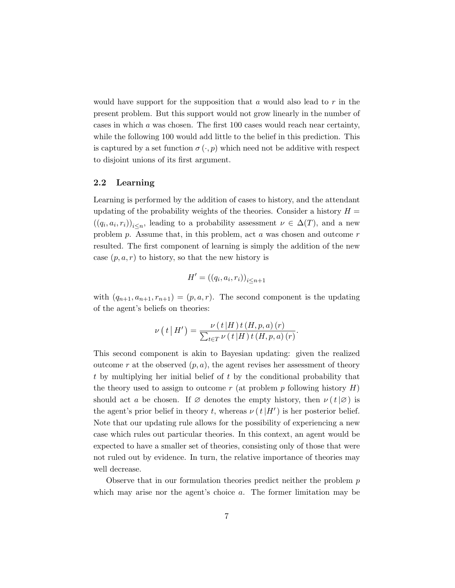would have support for the supposition that  $a$  would also lead to  $r$  in the present problem. But this support would not grow linearly in the number of cases in which a was chosen. The first 100 cases would reach near certainty, while the following 100 would add little to the belief in this prediction. This is captured by a set function  $\sigma(\cdot, p)$  which need not be additive with respect to disjoint unions of its first argument.

### 2.2 Learning

Learning is performed by the addition of cases to history, and the attendant updating of the probability weights of the theories. Consider a history  $H =$  $((q_i, a_i, r_i))_{i \leq n}$ , leading to a probability assessment  $\nu \in \Delta(T)$ , and a new problem p. Assume that, in this problem, act  $a$  was chosen and outcome  $r$ resulted. The first component of learning is simply the addition of the new case  $(p, a, r)$  to history, so that the new history is

$$
H' = ((q_i, a_i, r_i))_{i \le n+1}
$$

with  $(q_{n+1}, a_{n+1}, r_{n+1}) = (p, a, r)$ . The second component is the updating of the agent's beliefs on theories:

$$
\nu(t|H') = \frac{\nu(t|H)t(H,p,a)(r)}{\sum_{t \in T} \nu(t|H)t(H,p,a)(r)}.
$$

This second component is akin to Bayesian updating: given the realized outcome r at the observed  $(p, a)$ , the agent revises her assessment of theory t by multiplying her initial belief of t by the conditional probability that the theory used to assign to outcome r (at problem p following history  $H$ ) should act a be chosen. If  $\varnothing$  denotes the empty history, then  $\nu(t|\varnothing)$  is the agent's prior belief in theory t, whereas  $\nu(t|H')$  is her posterior belief. Note that our updating rule allows for the possibility of experiencing a new case which rules out particular theories. In this context, an agent would be expected to have a smaller set of theories, consisting only of those that were not ruled out by evidence. In turn, the relative importance of theories may well decrease.

Observe that in our formulation theories predict neither the problem  $p$ which may arise nor the agent's choice  $a$ . The former limitation may be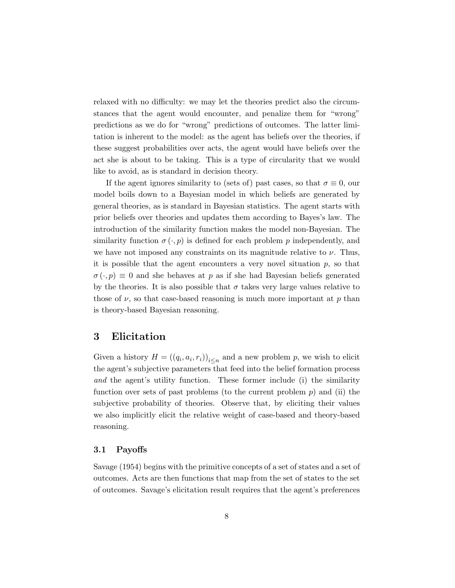relaxed with no difficulty: we may let the theories predict also the circumstances that the agent would encounter, and penalize them for "wrong" predictions as we do for "wrong" predictions of outcomes. The latter limitation is inherent to the model: as the agent has beliefs over the theories, if these suggest probabilities over acts, the agent would have beliefs over the act she is about to be taking. This is a type of circularity that we would like to avoid, as is standard in decision theory.

If the agent ignores similarity to (sets of) past cases, so that  $\sigma \equiv 0$ , our model boils down to a Bayesian model in which beliefs are generated by general theories, as is standard in Bayesian statistics. The agent starts with prior beliefs over theories and updates them according to Bayes's law. The introduction of the similarity function makes the model non-Bayesian. The similarity function  $\sigma(\cdot, p)$  is defined for each problem p independently, and we have not imposed any constraints on its magnitude relative to  $\nu$ . Thus, it is possible that the agent encounters a very novel situation  $p$ , so that  $\sigma(\cdot, p) \equiv 0$  and she behaves at p as if she had Bayesian beliefs generated by the theories. It is also possible that  $\sigma$  takes very large values relative to those of  $\nu$ , so that case-based reasoning is much more important at p than is theory-based Bayesian reasoning.

# 3 Elicitation

Given a history  $H = ((q_i, a_i, r_i))_{i \leq n}$  and a new problem p, we wish to elicit the agent's subjective parameters that feed into the belief formation process and the agent's utility function. These former include (i) the similarity function over sets of past problems (to the current problem  $p$ ) and (ii) the subjective probability of theories. Observe that, by eliciting their values we also implicitly elicit the relative weight of case-based and theory-based reasoning.

#### 3.1 Payoffs

Savage (1954) begins with the primitive concepts of a set of states and a set of outcomes. Acts are then functions that map from the set of states to the set of outcomes. Savage's elicitation result requires that the agent's preferences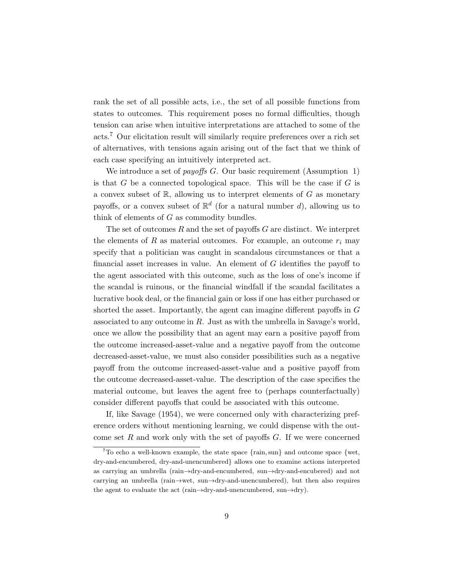rank the set of all possible acts, i.e., the set of all possible functions from states to outcomes. This requirement poses no formal difficulties, though tension can arise when intuitive interpretations are attached to some of the acts.<sup>7</sup> Our elicitation result will similarly require preferences over a rich set of alternatives, with tensions again arising out of the fact that we think of each case specifying an intuitively interpreted act.

We introduce a set of *payoffs G*. Our basic requirement (Assumption 1) is that  $G$  be a connected topological space. This will be the case if  $G$  is a convex subset of  $\mathbb{R}$ , allowing us to interpret elements of  $G$  as monetary payoffs, or a convex subset of  $\mathbb{R}^d$  (for a natural number d), allowing us to think of elements of  $G$  as commodity bundles.

The set of outcomes  $R$  and the set of payoffs  $G$  are distinct. We interpret the elements of  $R$  as material outcomes. For example, an outcome  $r_i$  may specify that a politician was caught in scandalous circumstances or that a financial asset increases in value. An element of G identifies the payoff to the agent associated with this outcome, such as the loss of one's income if the scandal is ruinous, or the financial windfall if the scandal facilitates a lucrative book deal, or the financial gain or loss if one has either purchased or shorted the asset. Importantly, the agent can imagine different payoffs in G associated to any outcome in  $R$ . Just as with the umbrella in Savage's world, once we allow the possibility that an agent may earn a positive payoff from the outcome increased-asset-value and a negative payoff from the outcome decreased-asset-value, we must also consider possibilities such as a negative payoff from the outcome increased-asset-value and a positive payoff from the outcome decreased-asset-value. The description of the case specifies the material outcome, but leaves the agent free to (perhaps counterfactually) consider different payoffs that could be associated with this outcome.

If, like Savage (1954), we were concerned only with characterizing preference orders without mentioning learning, we could dispense with the outcome set  $R$  and work only with the set of payoffs  $G$ . If we were concerned

<sup>&</sup>lt;sup>7</sup>To echo a well-known example, the state space  $\{\text{rain}, \text{sun}\}$  and outcome space  $\{w_t,$ dry-and-encumbered, dry-and-unencumbered} allows one to examine actions interpreted as carrying an umbrella (rain→dry-and-encumbered, sun→dry-and-encubered) and not carrying an umbrella (rain→wet, sun→dry-and-unencumbered), but then also requires the agent to evaluate the act (rain $\rightarrow$ dry-and-unencumbered, sun $\rightarrow$ dry).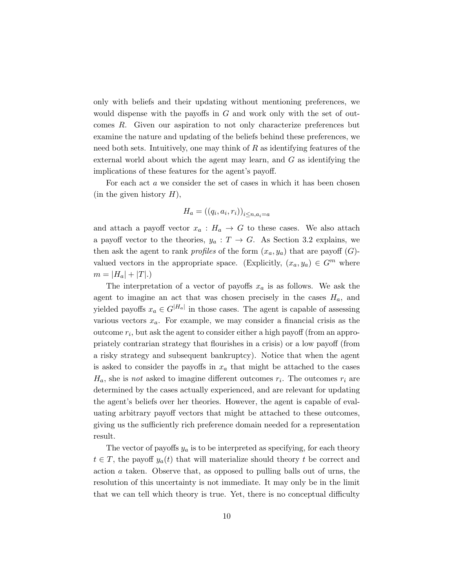only with beliefs and their updating without mentioning preferences, we would dispense with the payoffs in  $G$  and work only with the set of outcomes R. Given our aspiration to not only characterize preferences but examine the nature and updating of the beliefs behind these preferences, we need both sets. Intuitively, one may think of  $R$  as identifying features of the external world about which the agent may learn, and  $G$  as identifying the implications of these features for the agent's payoff.

For each act a we consider the set of cases in which it has been chosen  $(in the given history H),$ 

$$
H_a = ((q_i, a_i, r_i))_{i \le n, a_i = a}
$$

and attach a payoff vector  $x_a : H_a \to G$  to these cases. We also attach a payoff vector to the theories,  $y_a: T \to G$ . As Section 3.2 explains, we then ask the agent to rank *profiles* of the form  $(x_a, y_a)$  that are payoff  $(G)$ valued vectors in the appropriate space. (Explicitly,  $(x_a, y_a) \in G^m$  where  $m = |H_a| + |T|.$ 

The interpretation of a vector of payoffs  $x_a$  is as follows. We ask the agent to imagine an act that was chosen precisely in the cases  $H_a$ , and yielded payoffs  $x_a \in G^{|H_a|}$  in those cases. The agent is capable of assessing various vectors  $x_a$ . For example, we may consider a financial crisis as the  $outcome\ r_i$ , but ask the agent to consider either a high payoff (from an appropriately contrarian strategy that flourishes in a crisis) or a low payoff (from a risky strategy and subsequent bankruptcy). Notice that when the agent is asked to consider the payoffs in  $x_a$  that might be attached to the cases  $H_a$ , she is not asked to imagine different outcomes  $r_i$ . The outcomes  $r_i$  are determined by the cases actually experienced, and are relevant for updating the agent's beliefs over her theories. However, the agent is capable of evaluating arbitrary payoff vectors that might be attached to these outcomes, giving us the sufficiently rich preference domain needed for a representation result.

The vector of payoffs  $y_a$  is to be interpreted as specifying, for each theory  $t \in T$ , the payoff  $y_a(t)$  that will materialize should theory t be correct and action a taken. Observe that, as opposed to pulling balls out of urns, the resolution of this uncertainty is not immediate. It may only be in the limit that we can tell which theory is true. Yet, there is no conceptual difficulty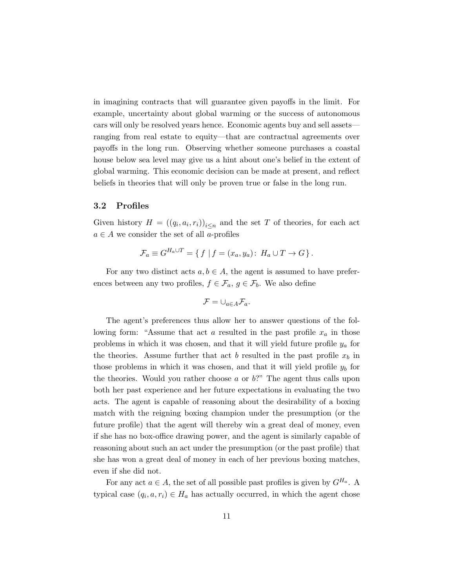in imagining contracts that will guarantee given payoffs in the limit. For example, uncertainty about global warming or the success of autonomous cars will only be resolved years hence. Economic agents buy and sell assets ranging from real estate to equity—that are contractual agreements over payoffs in the long run. Observing whether someone purchases a coastal house below sea level may give us a hint about one's belief in the extent of global warming. This economic decision can be made at present, and reflect beliefs in theories that will only be proven true or false in the long run.

#### 3.2 Profiles

Given history  $H = ((q_i, a_i, r_i))_{i \leq n}$  and the set T of theories, for each act  $a \in A$  we consider the set of all a-profiles

$$
\mathcal{F}_a \equiv G^{H_a \cup T} = \{ f \mid f = (x_a, y_a): H_a \cup T \to G \}.
$$

For any two distinct acts  $a, b \in A$ , the agent is assumed to have preferences between any two profiles,  $f \in \mathcal{F}_a$ ,  $g \in \mathcal{F}_b$ . We also define

$$
\mathcal{F}=\cup_{a\in A}\mathcal{F}_a.
$$

The agent's preferences thus allow her to answer questions of the following form: "Assume that act a resulted in the past profile  $x_a$  in those problems in which it was chosen, and that it will yield future profile  $y_a$  for the theories. Assume further that act b resulted in the past profile  $x_b$  in those problems in which it was chosen, and that it will yield profile  $y<sub>b</sub>$  for the theories. Would you rather choose  $a$  or  $b$ ?" The agent thus calls upon both her past experience and her future expectations in evaluating the two acts. The agent is capable of reasoning about the desirability of a boxing match with the reigning boxing champion under the presumption (or the future profile) that the agent will thereby win a great deal of money, even if she has no box-office drawing power, and the agent is similarly capable of reasoning about such an act under the presumption (or the past profile) that she has won a great deal of money in each of her previous boxing matches, even if she did not.

For any act  $a \in A$ , the set of all possible past profiles is given by  $G^{H_a}$ . A typical case  $(q_i, a, r_i) \in H_a$  has actually occurred, in which the agent chose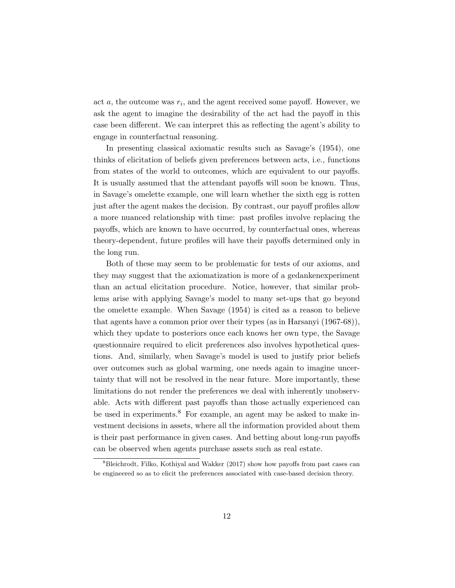act  $a$ , the outcome was  $r_i$ , and the agent received some payoff. However, we ask the agent to imagine the desirability of the act had the payoff in this case been different. We can interpret this as reflecting the agent's ability to engage in counterfactual reasoning.

In presenting classical axiomatic results such as Savage's (1954), one thinks of elicitation of beliefs given preferences between acts, i.e., functions from states of the world to outcomes, which are equivalent to our payoffs. It is usually assumed that the attendant payoffs will soon be known. Thus, in Savage's omelette example, one will learn whether the sixth egg is rotten just after the agent makes the decision. By contrast, our payoff profiles allow a more nuanced relationship with time: past profiles involve replacing the payoffs, which are known to have occurred, by counterfactual ones, whereas theory-dependent, future profiles will have their payoffs determined only in the long run.

Both of these may seem to be problematic for tests of our axioms, and they may suggest that the axiomatization is more of a gedankenexperiment than an actual elicitation procedure. Notice, however, that similar problems arise with applying Savage's model to many set-ups that go beyond the omelette example. When Savage (1954) is cited as a reason to believe that agents have a common prior over their types (as in Harsanyi (1967-68)), which they update to posteriors once each knows her own type, the Savage questionnaire required to elicit preferences also involves hypothetical questions. And, similarly, when Savage's model is used to justify prior beliefs over outcomes such as global warming, one needs again to imagine uncertainty that will not be resolved in the near future. More importantly, these limitations do not render the preferences we deal with inherently unobservable. Acts with different past payoffs than those actually experienced can be used in experiments.<sup>8</sup> For example, an agent may be asked to make investment decisions in assets, where all the information provided about them is their past performance in given cases. And betting about long-run payoffs can be observed when agents purchase assets such as real estate.

<sup>8</sup>Bleichrodt, Filko, Kothiyal and Wakker (2017) show how payoffs from past cases can be engineered so as to elicit the preferences associated with case-based decision theory.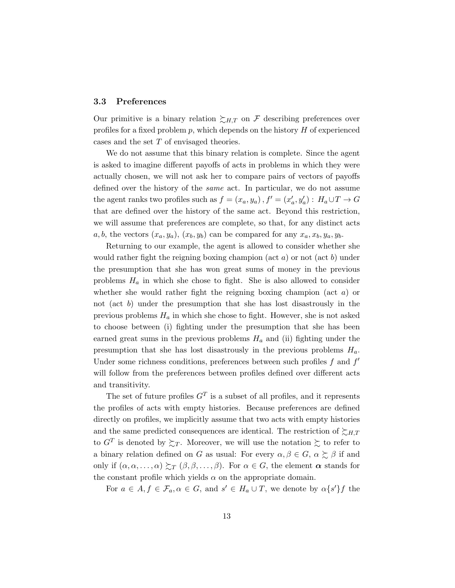### 3.3 Preferences

Our primitive is a binary relation  $\succsim_{H,T}$  on F describing preferences over profiles for a fixed problem  $p$ , which depends on the history  $H$  of experienced cases and the set T of envisaged theories.

We do not assume that this binary relation is complete. Since the agent is asked to imagine different payoffs of acts in problems in which they were actually chosen, we will not ask her to compare pairs of vectors of payoffs defined over the history of the same act. In particular, we do not assume the agent ranks two profiles such as  $f = (x_a, y_a)$ ,  $f' = (x'_a, y'_a) : H_a \cup T \to G$ that are defined over the history of the same act. Beyond this restriction, we will assume that preferences are complete, so that, for any distinct acts  $a, b$ , the vectors  $(x_a, y_a)$ ,  $(x_b, y_b)$  can be compared for any  $x_a, x_b, y_a, y_b$ .

Returning to our example, the agent is allowed to consider whether she would rather fight the reigning boxing champion (act  $a$ ) or not (act  $b$ ) under the presumption that she has won great sums of money in the previous problems  $H_a$  in which she chose to fight. She is also allowed to consider whether she would rather fight the reigning boxing champion (act  $a$ ) or not (act  $b$ ) under the presumption that she has lost disastrously in the previous problems  $H_a$  in which she chose to fight. However, she is not asked to choose between (i) fighting under the presumption that she has been earned great sums in the previous problems  $H_a$  and (ii) fighting under the presumption that she has lost disastrously in the previous problems  $H_a$ . Under some richness conditions, preferences between such profiles  $f$  and  $f'$ will follow from the preferences between profiles defined over different acts and transitivity.

The set of future profiles  $G<sup>T</sup>$  is a subset of all profiles, and it represents the profiles of acts with empty histories. Because preferences are defined directly on profiles, we implicitly assume that two acts with empty histories and the same predicted consequences are identical. The restriction of  $\succsim_{H,T}$ to  $G^T$  is denoted by  $\succsim_T$ . Moreover, we will use the notation  $\succsim$  to refer to a binary relation defined on G as usual: For every  $\alpha, \beta \in G$ ,  $\alpha \succeq \beta$  if and only if  $(\alpha, \alpha, \ldots, \alpha) \succsim_T (\beta, \beta, \ldots, \beta)$ . For  $\alpha \in G$ , the element  $\alpha$  stands for the constant profile which yields  $\alpha$  on the appropriate domain.

For  $a \in A, f \in \mathcal{F}_a, \alpha \in G$ , and  $s' \in H_a \cup T$ , we denote by  $\alpha \{s'\}f$  the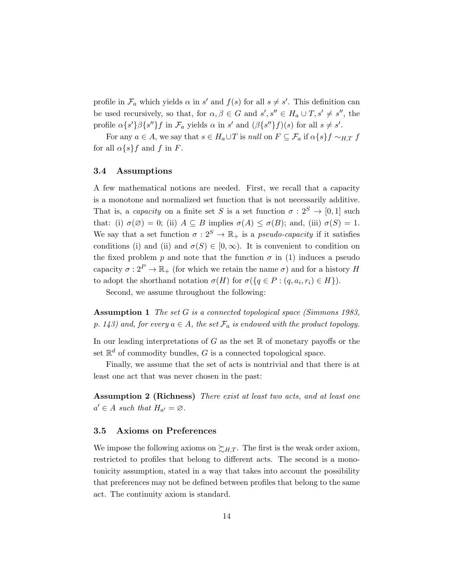profile in  $\mathcal{F}_a$  which yields  $\alpha$  in s' and  $f(s)$  for all  $s \neq s'$ . This definition can be used recursively, so that, for  $\alpha, \beta \in G$  and  $s', s'' \in H_a \cup T, s' \neq s''$ , the profile  $\alpha \{s'\}\beta \{s''\}f$  in  $\mathcal{F}_a$  yields  $\alpha$  in  $s'$  and  $(\beta \{s''\}f)(s)$  for all  $s \neq s'$ .

For any  $a \in A$ , we say that  $s \in H_a \cup T$  is null on  $F \subseteq \mathcal{F}_a$  if  $\alpha \{s\} f \sim_{H,T} f$ for all  $\alpha\{s\}f$  and f in F.

### 3.4 Assumptions

A few mathematical notions are needed. First, we recall that a capacity is a monotone and normalized set function that is not necessarily additive. That is, a *capacity* on a finite set S is a set function  $\sigma : 2^S \to [0,1]$  such that: (i)  $\sigma(\emptyset) = 0$ ; (ii)  $A \subseteq B$  implies  $\sigma(A) \leq \sigma(B)$ ; and, (iii)  $\sigma(S) = 1$ . We say that a set function  $\sigma : 2^S \to \mathbb{R}_+$  is a *pseudo-capacity* if it satisfies conditions (i) and (ii) and  $\sigma(S) \in [0,\infty)$ . It is convenient to condition on the fixed problem p and note that the function  $\sigma$  in (1) induces a pseudo capacity  $\sigma: 2^P \to \mathbb{R}_+$  (for which we retain the name  $\sigma$ ) and for a history H to adopt the shorthand notation  $\sigma(H)$  for  $\sigma(\lbrace q \in P : (q, a_i, r_i) \in H \rbrace)$ .

Second, we assume throughout the following:

Assumption 1 The set G is a connected topological space (Simmons 1983, p. 143) and, for every  $a \in A$ , the set  $\mathcal{F}_a$  is endowed with the product topology.

In our leading interpretations of  $G$  as the set  $\mathbb R$  of monetary payoffs or the set  $\mathbb{R}^d$  of commodity bundles, G is a connected topological space.

Finally, we assume that the set of acts is nontrivial and that there is at least one act that was never chosen in the past:

Assumption 2 (Richness) There exist at least two acts, and at least one  $a' \in A$  such that  $H_{a'} = \varnothing$ .

### 3.5 Axioms on Preferences

We impose the following axioms on  $\succsim_{H,T}$ . The first is the weak order axiom, restricted to profiles that belong to different acts. The second is a monotonicity assumption, stated in a way that takes into account the possibility that preferences may not be defined between profiles that belong to the same act. The continuity axiom is standard.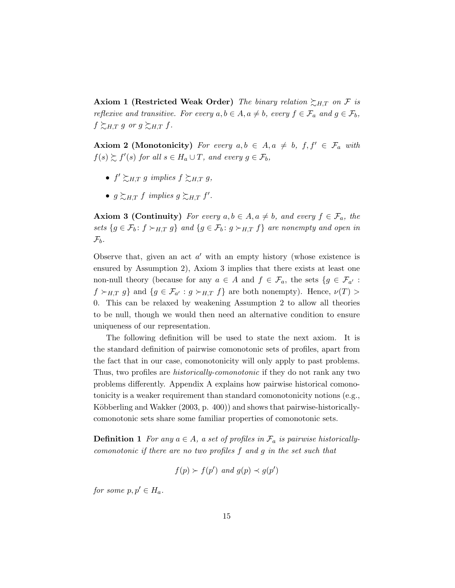Axiom 1 (Restricted Weak Order) The binary relation  $\succsim_{H,T}$  on F is reflexive and transitive. For every  $a, b \in A, a \neq b$ , every  $f \in \mathcal{F}_a$  and  $g \in \mathcal{F}_b$ ,  $f \succsim_{H,T} g$  or  $g \succsim_{H,T} f$ .

**Axiom 2 (Monotonicity)** For every  $a, b \in A, a \neq b, f, f' \in \mathcal{F}_a$  with  $f(s) \succsim f'(s)$  for all  $s \in H_a \cup T$ , and every  $g \in \mathcal{F}_b$ ,

- $f' \succsim_{H,T} g$  implies  $f \succsim_{H,T} g$ ,
- $g \succsim_{H,T} f$  implies  $g \succsim_{H,T} f'$ .

**Axiom 3 (Continuity)** For every  $a, b \in A, a \neq b$ , and every  $f \in \mathcal{F}_a$ , the sets  $\{g \in \mathcal{F}_b : f \succ_{H,T} g\}$  and  $\{g \in \mathcal{F}_b : g \succ_{H,T} f\}$  are nonempty and open in  $\mathcal{F}_b$ .

Observe that, given an act  $a'$  with an empty history (whose existence is ensured by Assumption 2), Axiom 3 implies that there exists at least one non-null theory (because for any  $a \in A$  and  $f \in \mathcal{F}_a$ , the sets  $\{g \in \mathcal{F}_{a'} :$  $f \succ_{H,T} g$  and  $\{g \in \mathcal{F}_{a'} : g \succ_{H,T} f\}$  are both nonempty). Hence,  $\nu(T) >$ 0. This can be relaxed by weakening Assumption 2 to allow all theories to be null, though we would then need an alternative condition to ensure uniqueness of our representation.

The following definition will be used to state the next axiom. It is the standard definition of pairwise comonotonic sets of profiles, apart from the fact that in our case, comonotonicity will only apply to past problems. Thus, two profiles are *historically-comonotonic* if they do not rank any two problems differently. Appendix A explains how pairwise historical comonotonicity is a weaker requirement than standard comonotonicity notions (e.g., Köbberling and Wakker  $(2003, p. 400)$  and shows that pairwise-historicallycomonotonic sets share some familiar properties of comonotonic sets.

**Definition 1** For any  $a \in A$ , a set of profiles in  $\mathcal{F}_a$  is pairwise historicallycomonotonic if there are no two profiles f and g in the set such that

$$
f(p) \succ f(p')
$$
 and  $g(p) \prec g(p')$ 

for some  $p, p' \in H_a$ .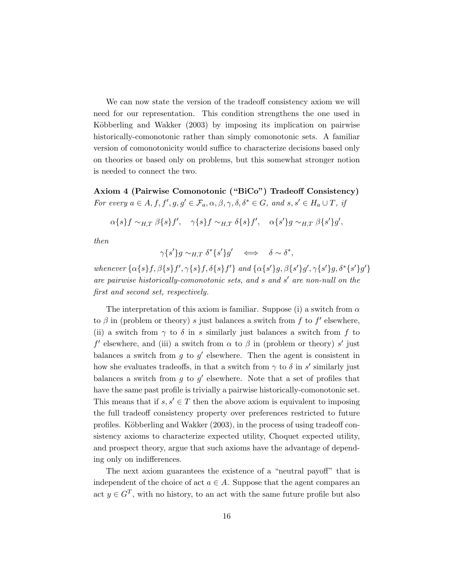We can now state the version of the tradeoff consistency axiom we will need for our representation. This condition strengthens the one used in Köbberling and Wakker (2003) by imposing its implication on pairwise historically-comonotonic rather than simply comonotonic sets. A familiar version of comonotonicity would suffice to characterize decisions based only on theories or based only on problems, but this somewhat stronger notion is needed to connect the two.

Axiom 4 (Pairwise Comonotonic ("BiCo") Tradeoff Consistency) For every  $a \in A, f, f', g, g' \in \mathcal{F}_a, \alpha, \beta, \gamma, \delta, \delta^* \in G$ , and  $s, s' \in H_a \cup T$ , if

 $\alpha\{s\}f \sim_{H,T} \beta\{s\}f', \quad \gamma\{s\}f \sim_{H,T} \delta\{s\}f', \quad \alpha\{s'\}g \sim_{H,T} \beta\{s'\}g',$ 

then

$$
\gamma \{s'\} g \sim_{H,T} \delta^* \{s'\} g' \iff \delta \sim \delta^*,
$$

whenever  $\{\alpha\{s\}f, \beta\{s\}f', \gamma\{s\}f, \delta\{s\}f'\}$  and  $\{\alpha\{s'\}g, \beta\{s'\}g', \gamma\{s'\}g, \delta^*\{s'\}g'\}$ are pairwise historically-comonotonic sets, and  $s$  and  $s'$  are non-null on the first and second set, respectively.

The interpretation of this axiom is familiar. Suppose (i) a switch from  $\alpha$ to  $\beta$  in (problem or theory) s just balances a switch from f to f' elsewhere, (ii) a switch from  $\gamma$  to  $\delta$  in s similarly just balances a switch from f to  $f'$  elsewhere, and (iii) a switch from  $\alpha$  to  $\beta$  in (problem or theory) s' just balances a switch from  $g$  to  $g'$  elsewhere. Then the agent is consistent in how she evaluates tradeoffs, in that a switch from  $\gamma$  to  $\delta$  in s' similarly just balances a switch from  $g$  to  $g'$  elsewhere. Note that a set of profiles that have the same past profile is trivially a pairwise historically-comonotonic set. This means that if  $s, s' \in T$  then the above axiom is equivalent to imposing the full tradeoff consistency property over preferences restricted to future profiles. Köbberling and Wakker (2003), in the process of using tradeoff consistency axioms to characterize expected utility, Choquet expected utility, and prospect theory, argue that such axioms have the advantage of depending only on indifferences.

The next axiom guarantees the existence of a "neutral payoff" that is independent of the choice of act  $a \in A$ . Suppose that the agent compares an act  $y \in G<sup>T</sup>$ , with no history, to an act with the same future profile but also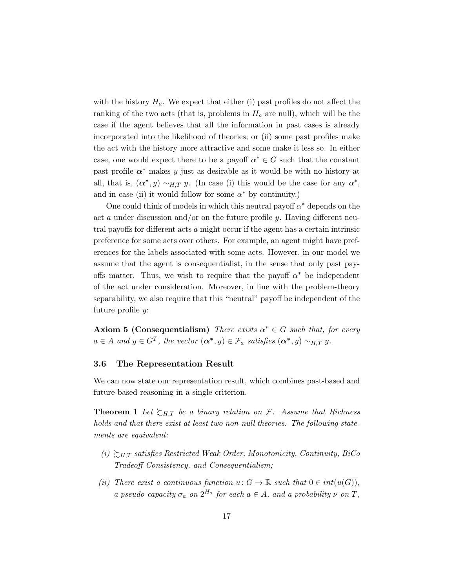with the history  $H_a$ . We expect that either (i) past profiles do not affect the ranking of the two acts (that is, problems in  $H_a$  are null), which will be the case if the agent believes that all the information in past cases is already incorporated into the likelihood of theories; or (ii) some past profiles make the act with the history more attractive and some make it less so. In either case, one would expect there to be a payoff  $\alpha^* \in G$  such that the constant past profile  $\alpha^*$  makes y just as desirable as it would be with no history at all, that is,  $(\boldsymbol{\alpha}^*, y) \sim_{H,T} y$ . (In case (i) this would be the case for any  $\alpha^*$ , and in case (ii) it would follow for some  $\alpha^*$  by continuity.)

One could think of models in which this neutral payoff  $\alpha^*$  depends on the act a under discussion and/or on the future profile  $y$ . Having different neutral payoffs for different acts a might occur if the agent has a certain intrinsic preference for some acts over others. For example, an agent might have preferences for the labels associated with some acts. However, in our model we assume that the agent is consequentialist, in the sense that only past payoffs matter. Thus, we wish to require that the payoff  $\alpha^*$  be independent of the act under consideration. Moreover, in line with the problem-theory separability, we also require that this "neutral" payoff be independent of the future profile y:

**Axiom 5 (Consequentialism)** There exists  $\alpha^* \in G$  such that, for every  $a \in A$  and  $y \in G^T$ , the vector  $(\boldsymbol{\alpha^*}, y) \in \mathcal{F}_a$  satisfies  $(\boldsymbol{\alpha^*}, y) \sim_{H,T} y$ .

#### 3.6 The Representation Result

We can now state our representation result, which combines past-based and future-based reasoning in a single criterion.

**Theorem 1** Let  $\succsim_{H,T}$  be a binary relation on F. Assume that Richness holds and that there exist at least two non-null theories. The following statements are equivalent:

- $(i) \sum_{H,T}$  satisfies Restricted Weak Order, Monotonicity, Continuity, BiCo Tradeoff Consistency, and Consequentialism;
- (ii) There exist a continuous function  $u: G \to \mathbb{R}$  such that  $0 \in int(u(G)),$ a pseudo-capacity  $\sigma_a$  on  $2^{H_a}$  for each  $a \in A$ , and a probability  $\nu$  on  $T$ ,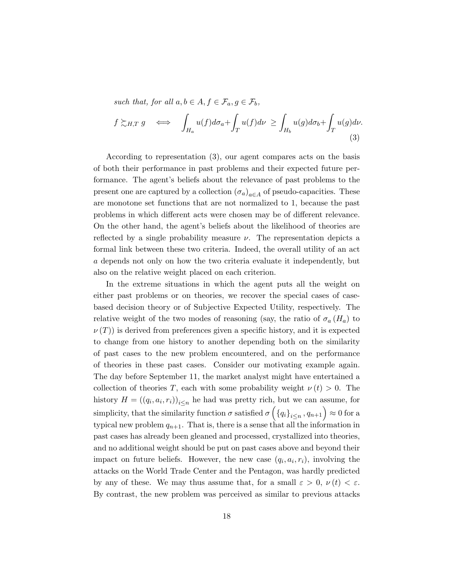such that, for all  $a, b \in A, f \in \mathcal{F}_a, g \in \mathcal{F}_b$ ,

$$
f \succsim_{H,T} g \iff \int_{H_a} u(f) d\sigma_a + \int_T u(f) d\nu \ge \int_{H_b} u(g) d\sigma_b + \int_T u(g) d\nu.
$$
\n(3)

According to representation (3), our agent compares acts on the basis of both their performance in past problems and their expected future performance. The agent's beliefs about the relevance of past problems to the present one are captured by a collection  $(\sigma_a)_{a \in A}$  of pseudo-capacities. These are monotone set functions that are not normalized to 1, because the past problems in which different acts were chosen may be of different relevance. On the other hand, the agent's beliefs about the likelihood of theories are reflected by a single probability measure  $\nu$ . The representation depicts a formal link between these two criteria. Indeed, the overall utility of an act a depends not only on how the two criteria evaluate it independently, but also on the relative weight placed on each criterion.

In the extreme situations in which the agent puts all the weight on either past problems or on theories, we recover the special cases of casebased decision theory or of Subjective Expected Utility, respectively. The relative weight of the two modes of reasoning (say, the ratio of  $\sigma_a(H_a)$  to  $\nu(T)$ ) is derived from preferences given a specific history, and it is expected to change from one history to another depending both on the similarity of past cases to the new problem encountered, and on the performance of theories in these past cases. Consider our motivating example again. The day before September 11, the market analyst might have entertained a collection of theories T, each with some probability weight  $\nu(t) > 0$ . The history  $H = ((q_i, a_i, r_i))_{i \leq n}$  he had was pretty rich, but we can assume, for simplicity, that the similarity function  $\sigma$  satisfied  $\sigma\left(\left\{q_i\right\}_{i\leq n}, q_{n+1}\right) \approx 0$  for a typical new problem  $q_{n+1}$ . That is, there is a sense that all the information in past cases has already been gleaned and processed, crystallized into theories, and no additional weight should be put on past cases above and beyond their impact on future beliefs. However, the new case  $(q_i, a_i, r_i)$ , involving the attacks on the World Trade Center and the Pentagon, was hardly predicted by any of these. We may thus assume that, for a small  $\varepsilon > 0$ ,  $\nu(t) < \varepsilon$ . By contrast, the new problem was perceived as similar to previous attacks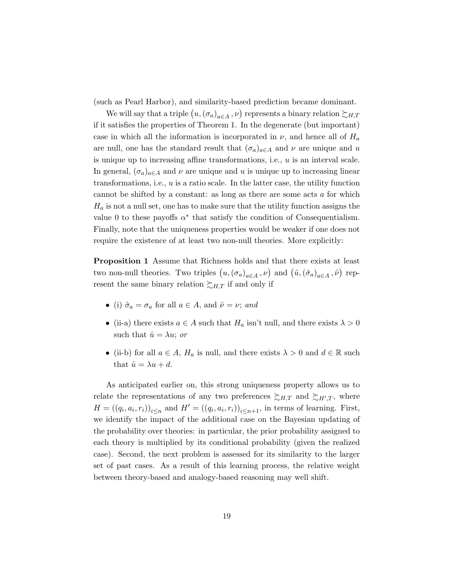(such as Pearl Harbor), and similarity-based prediction became dominant.

We will say that a triple  $(u, (\sigma_a)_{a \in A}, \nu)$  represents a binary relation  $\succsim_{H,T}$ if it satisfies the properties of Theorem 1. In the degenerate (but important) case in which all the information is incorporated in  $\nu$ , and hence all of  $H_a$ are null, one has the standard result that  $(\sigma_a)_{a \in A}$  and  $\nu$  are unique and u is unique up to increasing affine transformations, i.e.,  $u$  is an interval scale. In general,  $(\sigma_a)_{a \in A}$  and  $\nu$  are unique and u is unique up to increasing linear transformations, i.e., u is a ratio scale. In the latter case, the utility function cannot be shifted by a constant: as long as there are some acts a for which  $H_a$  is not a null set, one has to make sure that the utility function assigns the value 0 to these payoffs  $\alpha^*$  that satisfy the condition of Consequentialism. Finally, note that the uniqueness properties would be weaker if one does not require the existence of at least two non-null theories. More explicitly:

Proposition 1 Assume that Richness holds and that there exists at least two non-null theories. Two triples  $(u, (\sigma_a)_{a \in A}, \nu)$  and  $(\hat{u}, (\hat{\sigma}_a)_{a \in A}, \hat{\nu})$  represent the same binary relation  $\succsim_{H,T}$  if and only if

- (i)  $\hat{\sigma}_a = \sigma_a$  for all  $a \in A$ , and  $\hat{\nu} = \nu$ ; and
- (ii-a) there exists  $a \in A$  such that  $H_a$  isn't null, and there exists  $\lambda > 0$ such that  $\hat{u} = \lambda u$ ; or
- (ii-b) for all  $a \in A$ ,  $H_a$  is null, and there exists  $\lambda > 0$  and  $d \in \mathbb{R}$  such that  $\hat{u} = \lambda u + d$ .

As anticipated earlier on, this strong uniqueness property allows us to relate the representations of any two preferences  $\sum_{H,T}$  and  $\sum_{H',T}$ , where  $H = ((q_i, a_i, r_i))_{i \leq n}$  and  $H' = ((q_i, a_i, r_i))_{i \leq n+1}$ , in terms of learning. First, we identify the impact of the additional case on the Bayesian updating of the probability over theories: in particular, the prior probability assigned to each theory is multiplied by its conditional probability (given the realized case). Second, the next problem is assessed for its similarity to the larger set of past cases. As a result of this learning process, the relative weight between theory-based and analogy-based reasoning may well shift.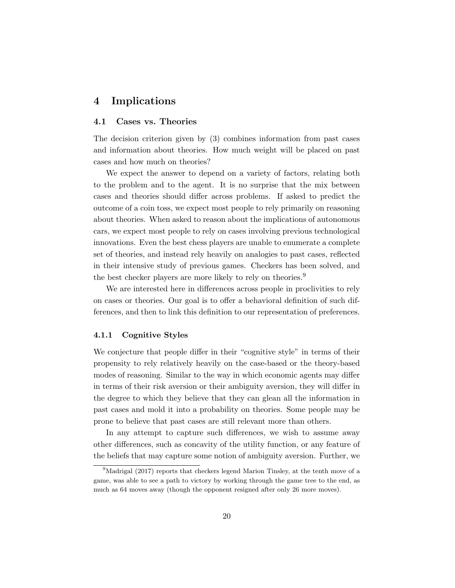# 4 Implications

#### 4.1 Cases vs. Theories

The decision criterion given by (3) combines information from past cases and information about theories. How much weight will be placed on past cases and how much on theories?

We expect the answer to depend on a variety of factors, relating both to the problem and to the agent. It is no surprise that the mix between cases and theories should differ across problems. If asked to predict the outcome of a coin toss, we expect most people to rely primarily on reasoning about theories. When asked to reason about the implications of autonomous cars, we expect most people to rely on cases involving previous technological innovations. Even the best chess players are unable to enumerate a complete set of theories, and instead rely heavily on analogies to past cases, reflected in their intensive study of previous games. Checkers has been solved, and the best checker players are more likely to rely on theories.<sup>9</sup>

We are interested here in differences across people in proclivities to rely on cases or theories. Our goal is to offer a behavioral definition of such differences, and then to link this definition to our representation of preferences.

#### 4.1.1 Cognitive Styles

We conjecture that people differ in their "cognitive style" in terms of their propensity to rely relatively heavily on the case-based or the theory-based modes of reasoning. Similar to the way in which economic agents may differ in terms of their risk aversion or their ambiguity aversion, they will differ in the degree to which they believe that they can glean all the information in past cases and mold it into a probability on theories. Some people may be prone to believe that past cases are still relevant more than others.

In any attempt to capture such differences, we wish to assume away other differences, such as concavity of the utility function, or any feature of the beliefs that may capture some notion of ambiguity aversion. Further, we

<sup>&</sup>lt;sup>9</sup>Madrigal (2017) reports that checkers legend Marion Tinsley, at the tenth move of a game, was able to see a path to victory by working through the game tree to the end, as much as 64 moves away (though the opponent resigned after only 26 more moves).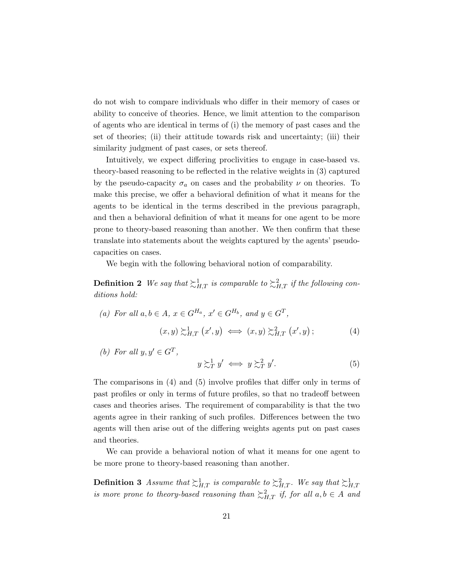do not wish to compare individuals who differ in their memory of cases or ability to conceive of theories. Hence, we limit attention to the comparison of agents who are identical in terms of (i) the memory of past cases and the set of theories; (ii) their attitude towards risk and uncertainty; (iii) their similarity judgment of past cases, or sets thereof.

Intuitively, we expect differing proclivities to engage in case-based vs. theory-based reasoning to be reflected in the relative weights in (3) captured by the pseudo-capacity  $\sigma_a$  on cases and the probability  $\nu$  on theories. To make this precise, we offer a behavioral definition of what it means for the agents to be identical in the terms described in the previous paragraph, and then a behavioral definition of what it means for one agent to be more prone to theory-based reasoning than another. We then confirm that these translate into statements about the weights captured by the agents' pseudocapacities on cases.

We begin with the following behavioral notion of comparability.

**Definition 2** We say that  $\succsim^1_{H,T}$  is comparable to  $\succsim^2_{H,T}$  if the following conditions hold:

(a) For all 
$$
a, b \in A
$$
,  $x \in G^{H_a}$ ,  $x' \in G^{H_b}$ , and  $y \in G^T$ ,  
\n $(x, y) \succsim^1_{H,T} (x', y) \iff (x, y) \succsim^2_{H,T} (x', y)$ ;\n
$$
(4)
$$

(b) For all  $y, y' \in G^T$ ,

$$
y \gtrsim_T^1 y' \iff y \gtrsim_T^2 y'.
$$
 (5)

The comparisons in (4) and (5) involve profiles that differ only in terms of past profiles or only in terms of future profiles, so that no tradeoff between cases and theories arises. The requirement of comparability is that the two agents agree in their ranking of such profiles. Differences between the two agents will then arise out of the differing weights agents put on past cases and theories.

We can provide a behavioral notion of what it means for one agent to be more prone to theory-based reasoning than another.

**Definition 3** Assume that  $\succsim^1_{H,T}$  is comparable to  $\succsim^2_{H,T}$ . We say that  $\succsim^1_{H,T}$ is more prone to theory-based reasoning than  $\sum_{H,T}$  if, for all  $a, b \in A$  and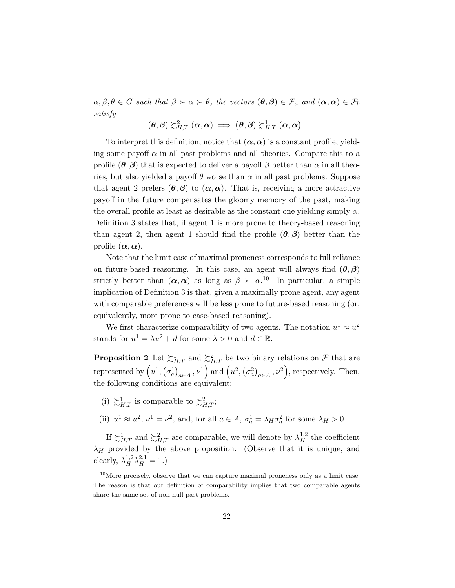$\alpha, \beta, \theta \in G$  such that  $\beta \succ \alpha \succ \theta$ , the vectors  $(\theta, \beta) \in \mathcal{F}_a$  and  $(\alpha, \alpha) \in \mathcal{F}_b$ satisfy

$$
\left(\boldsymbol{\theta},\boldsymbol{\beta}\right)\succsim^{2}_{H,T}\left(\boldsymbol{\alpha},\boldsymbol{\alpha}\right)\implies\left(\boldsymbol{\theta},\boldsymbol{\beta}\right)\succsim^{1}_{H,T}\left(\boldsymbol{\alpha},\boldsymbol{\alpha}\right).
$$

To interpret this definition, notice that  $(\alpha, \alpha)$  is a constant profile, yielding some payoff  $\alpha$  in all past problems and all theories. Compare this to a profile  $(\theta, \beta)$  that is expected to deliver a payoff  $\beta$  better than  $\alpha$  in all theories, but also yielded a payoff  $\theta$  worse than  $\alpha$  in all past problems. Suppose that agent 2 prefers  $(\theta, \beta)$  to  $(\alpha, \alpha)$ . That is, receiving a more attractive payoff in the future compensates the gloomy memory of the past, making the overall profile at least as desirable as the constant one yielding simply  $\alpha$ . Definition 3 states that, if agent 1 is more prone to theory-based reasoning than agent 2, then agent 1 should find the profile  $(\theta, \beta)$  better than the profile  $(\alpha, \alpha)$ .

Note that the limit case of maximal proneness corresponds to full reliance on future-based reasoning. In this case, an agent will always find  $(\theta, \beta)$ strictly better than  $(\alpha, \alpha)$  as long as  $\beta \succ \alpha$ .<sup>10</sup> In particular, a simple implication of Definition 3 is that, given a maximally prone agent, any agent with comparable preferences will be less prone to future-based reasoning (or, equivalently, more prone to case-based reasoning).

We first characterize comparability of two agents. The notation  $u^1 \approx u^2$ stands for  $u^1 = \lambda u^2 + d$  for some  $\lambda > 0$  and  $d \in \mathbb{R}$ .

**Proposition 2** Let  $\succsim_{H,T}^1$  and  $\succsim_{H,T}^2$  be two binary relations on F that are represented by  $(u^1, (\sigma_a^1)_{a \in A}, \nu^1)$  and  $(u^2, (\sigma_a^2)_{a \in A}, \nu^2)$ , respectively. Then, the following conditions are equivalent:

- (i)  $\succsim^1_{H,T}$  is comparable to  $\succsim^2_{H,T}$ ;
- (ii)  $u^1 \approx u^2$ ,  $\nu^1 = \nu^2$ , and, for all  $a \in A$ ,  $\sigma_a^1 = \lambda_H \sigma_a^2$  for some  $\lambda_H > 0$ .

If  $\sum_{H,T}^1$  and  $\sum_{H,T}^2$  are comparable, we will denote by  $\lambda_H^{1,2}$  the coefficient  $\lambda_H$  provided by the above proposition. (Observe that it is unique, and clearly,  $\lambda_H^{1,2} \lambda_H^{2,1} = 1.$ )

 $10$ More precisely, observe that we can capture maximal proneness only as a limit case. The reason is that our definition of comparability implies that two comparable agents share the same set of non-null past problems.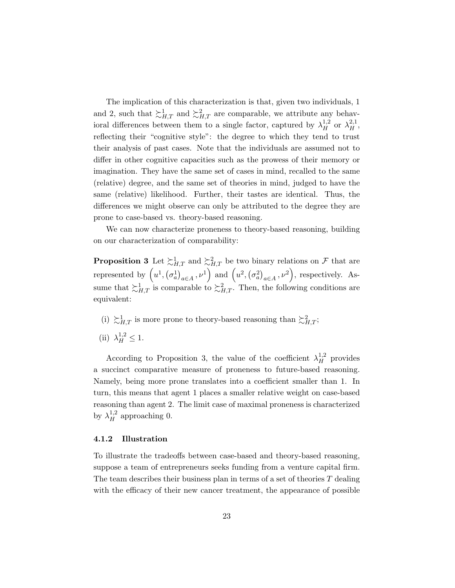The implication of this characterization is that, given two individuals, 1 and 2, such that  $\sum_{H,T}^1$  and  $\sum_{H,T}^2$  are comparable, we attribute any behavioral differences between them to a single factor, captured by  $\lambda_H^{1,2}$  or  $\lambda_H^{2,1}$ , reflecting their "cognitive style": the degree to which they tend to trust their analysis of past cases. Note that the individuals are assumed not to differ in other cognitive capacities such as the prowess of their memory or imagination. They have the same set of cases in mind, recalled to the same (relative) degree, and the same set of theories in mind, judged to have the same (relative) likelihood. Further, their tastes are identical. Thus, the differences we might observe can only be attributed to the degree they are prone to case-based vs. theory-based reasoning.

We can now characterize proneness to theory-based reasoning, building on our characterization of comparability:

**Proposition 3** Let  $\succsim_{H,T}^1$  and  $\succsim_{H,T}^2$  be two binary relations on F that are represented by  $(u^1, (\sigma_a^1)_{a \in A}, \nu^1)$  and  $(u^2, (\sigma_a^2)_{a \in A}, \nu^2)$ , respectively. Assume that  $\succsim^1_{H,T}$  is comparable to  $\succsim^2_{H,T}$ . Then, the following conditions are equivalent:

- (i)  $\succsim_{H,T}^1$  is more prone to theory-based reasoning than  $\succsim_{H,T}^2$ ;
- (ii)  $\lambda_H^{1,2} \le 1$ .

According to Proposition 3, the value of the coefficient  $\lambda_H^{1,2}$  provides a succinct comparative measure of proneness to future-based reasoning. Namely, being more prone translates into a coefficient smaller than 1. In turn, this means that agent 1 places a smaller relative weight on case-based reasoning than agent 2. The limit case of maximal proneness is characterized by  $\lambda_H^{1,2}$  approaching 0.

#### 4.1.2 Illustration

To illustrate the tradeoffs between case-based and theory-based reasoning, suppose a team of entrepreneurs seeks funding from a venture capital firm. The team describes their business plan in terms of a set of theories  $T$  dealing with the efficacy of their new cancer treatment, the appearance of possible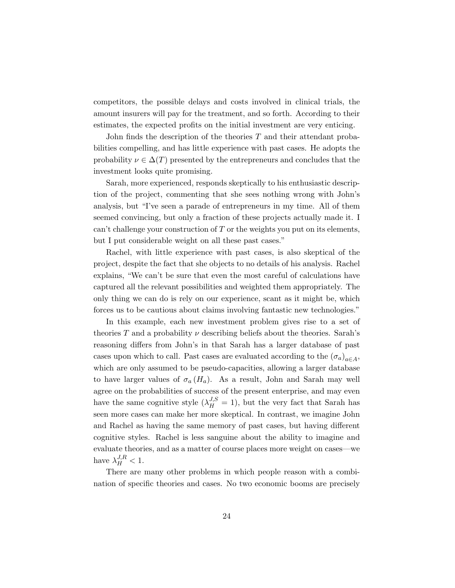competitors, the possible delays and costs involved in clinical trials, the amount insurers will pay for the treatment, and so forth. According to their estimates, the expected profits on the initial investment are very enticing.

John finds the description of the theories  $T$  and their attendant probabilities compelling, and has little experience with past cases. He adopts the probability  $\nu \in \Delta(T)$  presented by the entrepreneurs and concludes that the investment looks quite promising.

Sarah, more experienced, responds skeptically to his enthusiastic description of the project, commenting that she sees nothing wrong with John's analysis, but "I've seen a parade of entrepreneurs in my time. All of them seemed convincing, but only a fraction of these projects actually made it. I can't challenge your construction of  $T$  or the weights you put on its elements, but I put considerable weight on all these past cases."

Rachel, with little experience with past cases, is also skeptical of the project, despite the fact that she objects to no details of his analysis. Rachel explains, "We can't be sure that even the most careful of calculations have captured all the relevant possibilities and weighted them appropriately. The only thing we can do is rely on our experience, scant as it might be, which forces us to be cautious about claims involving fantastic new technologies."

In this example, each new investment problem gives rise to a set of theories T and a probability  $\nu$  describing beliefs about the theories. Sarah's reasoning differs from John's in that Sarah has a larger database of past cases upon which to call. Past cases are evaluated according to the  $(\sigma_a)_{a \in A}$ , which are only assumed to be pseudo-capacities, allowing a larger database to have larger values of  $\sigma_a(H_a)$ . As a result, John and Sarah may well agree on the probabilities of success of the present enterprise, and may even have the same cognitive style  $(\lambda_H^{J,S} = 1)$ , but the very fact that Sarah has seen more cases can make her more skeptical. In contrast, we imagine John and Rachel as having the same memory of past cases, but having different cognitive styles. Rachel is less sanguine about the ability to imagine and evaluate theories, and as a matter of course places more weight on cases—we have  $\lambda_H^{J,R} < 1$ .

There are many other problems in which people reason with a combination of specific theories and cases. No two economic booms are precisely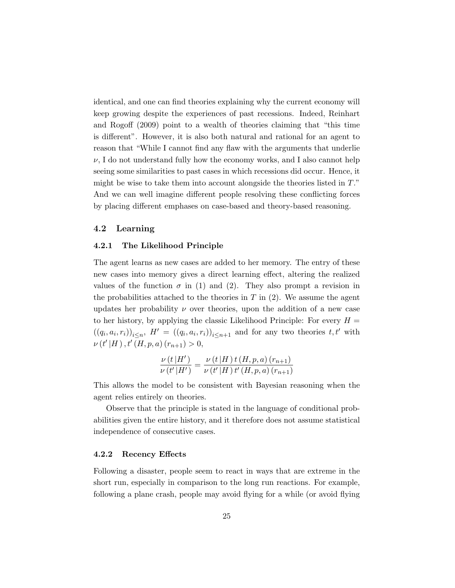identical, and one can find theories explaining why the current economy will keep growing despite the experiences of past recessions. Indeed, Reinhart and Rogoff (2009) point to a wealth of theories claiming that "this time is different". However, it is also both natural and rational for an agent to reason that "While I cannot find any flaw with the arguments that underlie  $\nu$ , I do not understand fully how the economy works, and I also cannot help seeing some similarities to past cases in which recessions did occur. Hence, it might be wise to take them into account alongside the theories listed in  $T$ ." And we can well imagine different people resolving these conflicting forces by placing different emphases on case-based and theory-based reasoning.

### 4.2 Learning

#### 4.2.1 The Likelihood Principle

The agent learns as new cases are added to her memory. The entry of these new cases into memory gives a direct learning effect, altering the realized values of the function  $\sigma$  in (1) and (2). They also prompt a revision in the probabilities attached to the theories in  $T$  in (2). We assume the agent updates her probability  $\nu$  over theories, upon the addition of a new case to her history, by applying the classic Likelihood Principle: For every  $H =$  $((q_i, a_i, r_i))_{i \leq n}, H' = ((q_i, a_i, r_i))_{i \leq n+1}$  and for any two theories  $t, t'$  with  $\nu(t'|H), t'(H, p, a) (r_{n+1}) > 0,$ 

$$
\frac{\nu(t|H')}{\nu(t'|H')} = \frac{\nu(t|H)t(H,p,a)(r_{n+1})}{\nu(t'|H)t'(H,p,a)(r_{n+1})}
$$

This allows the model to be consistent with Bayesian reasoning when the agent relies entirely on theories.

Observe that the principle is stated in the language of conditional probabilities given the entire history, and it therefore does not assume statistical independence of consecutive cases.

#### 4.2.2 Recency Effects

Following a disaster, people seem to react in ways that are extreme in the short run, especially in comparison to the long run reactions. For example, following a plane crash, people may avoid flying for a while (or avoid flying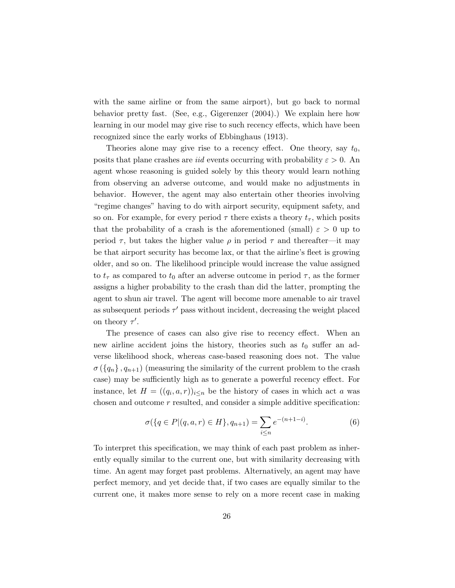with the same airline or from the same airport), but go back to normal behavior pretty fast. (See, e.g., Gigerenzer (2004).) We explain here how learning in our model may give rise to such recency effects, which have been recognized since the early works of Ebbinghaus (1913).

Theories alone may give rise to a recency effect. One theory, say  $t_0$ , posits that plane crashes are *iid* events occurring with probability  $\varepsilon > 0$ . An agent whose reasoning is guided solely by this theory would learn nothing from observing an adverse outcome, and would make no adjustments in behavior. However, the agent may also entertain other theories involving "regime changes" having to do with airport security, equipment safety, and so on. For example, for every period  $\tau$  there exists a theory  $t_{\tau}$ , which posits that the probability of a crash is the aforementioned (small)  $\varepsilon > 0$  up to period  $\tau$ , but takes the higher value  $\rho$  in period  $\tau$  and thereafter—it may be that airport security has become lax, or that the airline's fleet is growing older, and so on. The likelihood principle would increase the value assigned to  $t_{\tau}$  as compared to  $t_0$  after an adverse outcome in period  $\tau$ , as the former assigns a higher probability to the crash than did the latter, prompting the agent to shun air travel. The agent will become more amenable to air travel as subsequent periods  $\tau'$  pass without incident, decreasing the weight placed on theory  $\tau'$ .

The presence of cases can also give rise to recency effect. When an new airline accident joins the history, theories such as  $t_0$  suffer an adverse likelihood shock, whereas case-based reasoning does not. The value  $\sigma\left(\left\{q_n\right\}, q_{n+1}\right)$  (measuring the similarity of the current problem to the crash case) may be sufficiently high as to generate a powerful recency effect. For instance, let  $H = ((q_i, a, r))_{i \leq n}$  be the history of cases in which act a was chosen and outcome  $r$  resulted, and consider a simple additive specification:

$$
\sigma(\{q \in P | (q, a, r) \in H\}, q_{n+1}) = \sum_{i \le n} e^{-(n+1-i)}.
$$
 (6)

To interpret this specification, we may think of each past problem as inherently equally similar to the current one, but with similarity decreasing with time. An agent may forget past problems. Alternatively, an agent may have perfect memory, and yet decide that, if two cases are equally similar to the current one, it makes more sense to rely on a more recent case in making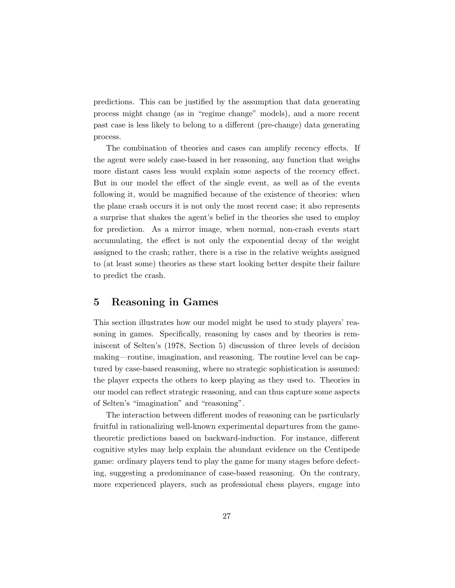predictions. This can be justified by the assumption that data generating process might change (as in "regime change" models), and a more recent past case is less likely to belong to a different (pre-change) data generating process.

The combination of theories and cases can amplify recency effects. If the agent were solely case-based in her reasoning, any function that weighs more distant cases less would explain some aspects of the recency effect. But in our model the effect of the single event, as well as of the events following it, would be magnified because of the existence of theories: when the plane crash occurs it is not only the most recent case; it also represents a surprise that shakes the agent's belief in the theories she used to employ for prediction. As a mirror image, when normal, non-crash events start accumulating, the effect is not only the exponential decay of the weight assigned to the crash; rather, there is a rise in the relative weights assigned to (at least some) theories as these start looking better despite their failure to predict the crash.

# 5 Reasoning in Games

This section illustrates how our model might be used to study players' reasoning in games. Specifically, reasoning by cases and by theories is reminiscent of Selten's (1978, Section 5) discussion of three levels of decision making—routine, imagination, and reasoning. The routine level can be captured by case-based reasoning, where no strategic sophistication is assumed: the player expects the others to keep playing as they used to. Theories in our model can reflect strategic reasoning, and can thus capture some aspects of Selten's "imagination" and "reasoning".

The interaction between different modes of reasoning can be particularly fruitful in rationalizing well-known experimental departures from the gametheoretic predictions based on backward-induction. For instance, different cognitive styles may help explain the abundant evidence on the Centipede game: ordinary players tend to play the game for many stages before defecting, suggesting a predominance of case-based reasoning. On the contrary, more experienced players, such as professional chess players, engage into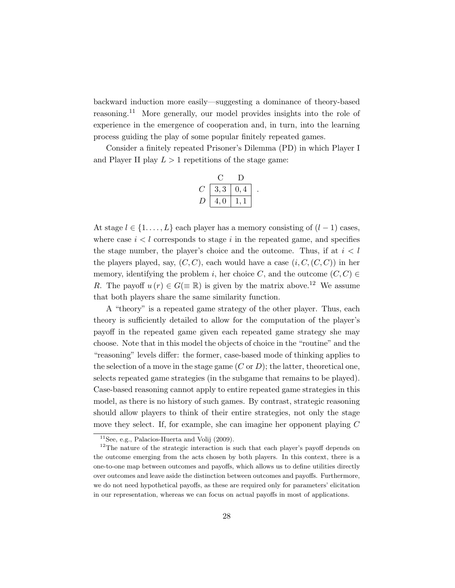backward induction more easily—suggesting a dominance of theory-based reasoning.<sup>11</sup> More generally, our model provides insights into the role of experience in the emergence of cooperation and, in turn, into the learning process guiding the play of some popular finitely repeated games.

Consider a finitely repeated Prisoner's Dilemma (PD) in which Player I and Player II play  $L > 1$  repetitions of the stage game:

| 3, 3 | 0,4 |  |
|------|-----|--|
| 4,0  |     |  |

At stage  $l \in \{1, \ldots, L\}$  each player has a memory consisting of  $(l-1)$  cases, where case  $i < l$  corresponds to stage i in the repeated game, and specifies the stage number, the player's choice and the outcome. Thus, if at  $i < l$ the players played, say,  $(C, C)$ , each would have a case  $(i, C, (C, C))$  in her memory, identifying the problem i, her choice C, and the outcome  $(C, C) \in$ R. The payoff  $u(r) \in G(\equiv \mathbb{R})$  is given by the matrix above.<sup>12</sup> We assume that both players share the same similarity function.

A "theory" is a repeated game strategy of the other player. Thus, each theory is sufficiently detailed to allow for the computation of the player's payoff in the repeated game given each repeated game strategy she may choose. Note that in this model the objects of choice in the "routine" and the "reasoning" levels differ: the former, case-based mode of thinking applies to the selection of a move in the stage game  $(C \text{ or } D)$ ; the latter, theoretical one, selects repeated game strategies (in the subgame that remains to be played). Case-based reasoning cannot apply to entire repeated game strategies in this model, as there is no history of such games. By contrast, strategic reasoning should allow players to think of their entire strategies, not only the stage move they select. If, for example, she can imagine her opponent playing C

 $11$ See, e.g., Palacios-Huerta and Volij (2009).

 $12$ The nature of the strategic interaction is such that each player's payoff depends on the outcome emerging from the acts chosen by both players. In this context, there is a one-to-one map between outcomes and payoffs, which allows us to define utilities directly over outcomes and leave aside the distinction between outcomes and payoffs. Furthermore, we do not need hypothetical payoffs, as these are required only for parameters' elicitation in our representation, whereas we can focus on actual payoffs in most of applications.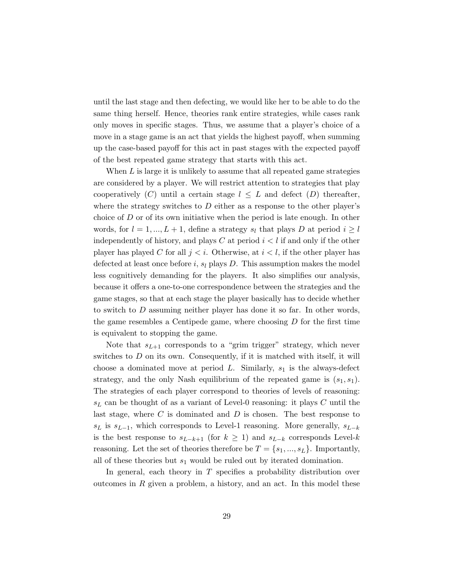until the last stage and then defecting, we would like her to be able to do the same thing herself. Hence, theories rank entire strategies, while cases rank only moves in specific stages. Thus, we assume that a player's choice of a move in a stage game is an act that yields the highest payoff, when summing up the case-based payoff for this act in past stages with the expected payoff of the best repeated game strategy that starts with this act.

When  $L$  is large it is unlikely to assume that all repeated game strategies are considered by a player. We will restrict attention to strategies that play cooperatively (C) until a certain stage  $l \leq L$  and defect (D) thereafter, where the strategy switches to  $D$  either as a response to the other player's choice of  $D$  or of its own initiative when the period is late enough. In other words, for  $l = 1, ..., L + 1$ , define a strategy  $s_l$  that plays D at period  $i \geq l$ independently of history, and plays C at period  $i < l$  if and only if the other player has played C for all  $j < i$ . Otherwise, at  $i < l$ , if the other player has defected at least once before i,  $s_l$  plays D. This assumption makes the model less cognitively demanding for the players. It also simplifies our analysis, because it offers a one-to-one correspondence between the strategies and the game stages, so that at each stage the player basically has to decide whether to switch to D assuming neither player has done it so far. In other words, the game resembles a Centipede game, where choosing  $D$  for the first time is equivalent to stopping the game.

Note that  $s_{L+1}$  corresponds to a "grim trigger" strategy, which never switches to  $D$  on its own. Consequently, if it is matched with itself, it will choose a dominated move at period  $L$ . Similarly,  $s<sub>1</sub>$  is the always-defect strategy, and the only Nash equilibrium of the repeated game is  $(s_1, s_1)$ . The strategies of each player correspond to theories of levels of reasoning:  $s<sub>L</sub>$  can be thought of as a variant of Level-0 reasoning: it plays C until the last stage, where  $C$  is dominated and  $D$  is chosen. The best response to  $s<sub>L</sub>$  is  $s<sub>L-1</sub>$ , which corresponds to Level-1 reasoning. More generally,  $s<sub>L-k</sub>$ is the best response to  $s_{L-k+1}$  (for  $k \geq 1$ ) and  $s_{L-k}$  corresponds Level-k reasoning. Let the set of theories therefore be  $T = \{s_1, ..., s_L\}$ . Importantly, all of these theories but  $s_1$  would be ruled out by iterated domination.

In general, each theory in  $T$  specifies a probability distribution over outcomes in  $R$  given a problem, a history, and an act. In this model these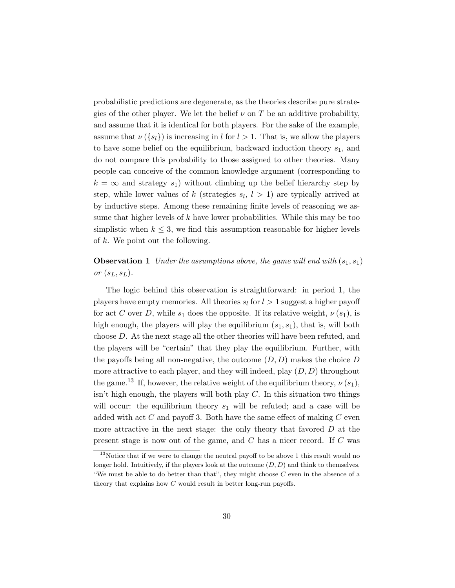probabilistic predictions are degenerate, as the theories describe pure strategies of the other player. We let the belief  $\nu$  on T be an additive probability, and assume that it is identical for both players. For the sake of the example, assume that  $\nu({s_l})$  is increasing in l for  $l > 1$ . That is, we allow the players to have some belief on the equilibrium, backward induction theory  $s_1$ , and do not compare this probability to those assigned to other theories. Many people can conceive of the common knowledge argument (corresponding to  $k = \infty$  and strategy  $s_1$ ) without climbing up the belief hierarchy step by step, while lower values of k (strategies  $s_l, l > 1$ ) are typically arrived at by inductive steps. Among these remaining finite levels of reasoning we assume that higher levels of  $k$  have lower probabilities. While this may be too simplistic when  $k \leq 3$ , we find this assumption reasonable for higher levels of  $k$ . We point out the following.

**Observation 1** Under the assumptions above, the game will end with  $(s_1, s_1)$ or  $(s_L, s_L)$ .

The logic behind this observation is straightforward: in period 1, the players have empty memories. All theories  $s_l$  for  $l > 1$  suggest a higher payoff for act C over D, while  $s_1$  does the opposite. If its relative weight,  $\nu(s_1)$ , is high enough, the players will play the equilibrium  $(s_1, s_1)$ , that is, will both choose D. At the next stage all the other theories will have been refuted, and the players will be "certain" that they play the equilibrium. Further, with the payoffs being all non-negative, the outcome  $(D, D)$  makes the choice D more attractive to each player, and they will indeed, play  $(D, D)$  throughout the game.<sup>13</sup> If, however, the relative weight of the equilibrium theory,  $\nu(s_1)$ , isn't high enough, the players will both play  $C$ . In this situation two things will occur: the equilibrium theory  $s_1$  will be refuted; and a case will be added with act  $C$  and payoff 3. Both have the same effect of making  $C$  even more attractive in the next stage: the only theory that favored  $D$  at the present stage is now out of the game, and C has a nicer record. If C was

 $13$ Notice that if we were to change the neutral payoff to be above 1 this result would no longer hold. Intuitively, if the players look at the outcome  $(D, D)$  and think to themselves, "We must be able to do better than that", they might choose  $C$  even in the absence of a theory that explains how C would result in better long-run payoffs.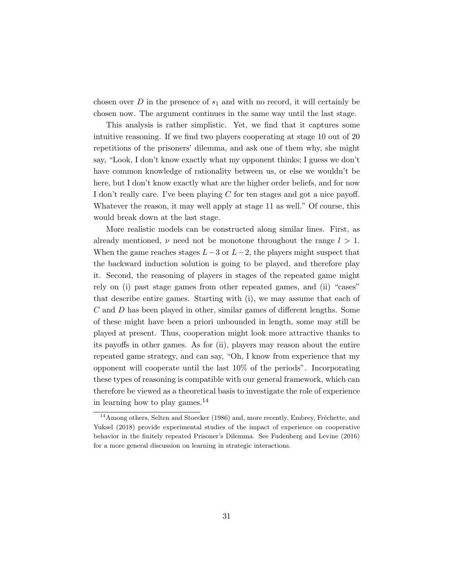chosen over  $D$  in the presence of  $s_1$  and with no record, it will certainly be chosen now. The argument continues in the same way until the last stage.

This analysis is rather simplistic. Yet, we find that it captures some intuitive reasoning. If we find two players cooperating at stage 10 out of 20 repetitions of the prisoners' dilemma, and ask one of them why, she might say, "Look, I don't know exactly what my opponent thinks; I guess we don't have common knowledge of rationality between us, or else we wouldn't be here, but I don't know exactly what are the higher order beliefs, and for now I don't really care. I've been playing C for ten stages and got a nice payoff. Whatever the reason, it may well apply at stage 11 as well." Of course, this would break down at the last stage.

More realistic models can be constructed along similar lines. First, as already mentioned,  $\nu$  need not be monotone throughout the range  $l > 1$ . When the game reaches stages  $L-3$  or  $L-2$ , the players might suspect that the backward induction solution is going to be played, and therefore play it. Second, the reasoning of players in stages of the repeated game might rely on (i) past stage games from other repeated games, and (ii) "cases" that describe entire games. Starting with (i), we may assume that each of C and D has been played in other, similar games of different lengths. Some of these might have been a priori unbounded in length, some may still be played at present. Thus, cooperation might look more attractive thanks to its payoffs in other games. As for (ii), players may reason about the entire repeated game strategy, and can say, "Oh, I know from experience that my opponent will cooperate until the last 10% of the periods". Incorporating these types of reasoning is compatible with our general framework, which can therefore be viewed as a theoretical basis to investigate the role of experience in learning how to play games.<sup>14</sup>

 $^{14}\mathrm{Among}$  others, Selten and Stoecker (1986) and, more recently, Embrey, Fréchette, and Yuksel (2018) provide experimental studies of the impact of experience on cooperative behavior in the finitely repeated Prisoner's Dilemma. See Fudenberg and Levine (2016) for a more general discussion on learning in strategic interactions.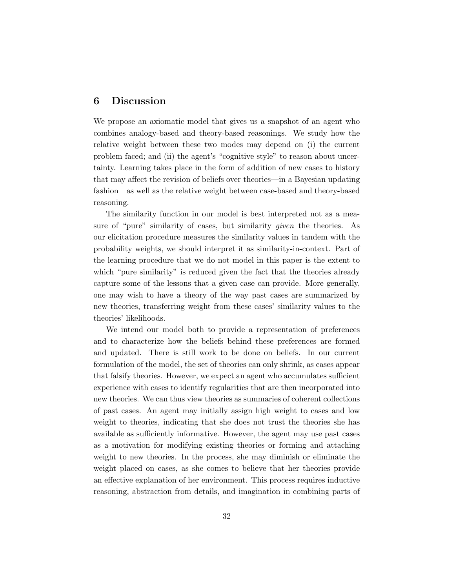# 6 Discussion

We propose an axiomatic model that gives us a snapshot of an agent who combines analogy-based and theory-based reasonings. We study how the relative weight between these two modes may depend on (i) the current problem faced; and (ii) the agent's "cognitive style" to reason about uncertainty. Learning takes place in the form of addition of new cases to history that may affect the revision of beliefs over theories—in a Bayesian updating fashion—as well as the relative weight between case-based and theory-based reasoning.

The similarity function in our model is best interpreted not as a measure of "pure" similarity of cases, but similarity given the theories. As our elicitation procedure measures the similarity values in tandem with the probability weights, we should interpret it as similarity-in-context. Part of the learning procedure that we do not model in this paper is the extent to which "pure similarity" is reduced given the fact that the theories already capture some of the lessons that a given case can provide. More generally, one may wish to have a theory of the way past cases are summarized by new theories, transferring weight from these cases' similarity values to the theories' likelihoods.

We intend our model both to provide a representation of preferences and to characterize how the beliefs behind these preferences are formed and updated. There is still work to be done on beliefs. In our current formulation of the model, the set of theories can only shrink, as cases appear that falsify theories. However, we expect an agent who accumulates sufficient experience with cases to identify regularities that are then incorporated into new theories. We can thus view theories as summaries of coherent collections of past cases. An agent may initially assign high weight to cases and low weight to theories, indicating that she does not trust the theories she has available as sufficiently informative. However, the agent may use past cases as a motivation for modifying existing theories or forming and attaching weight to new theories. In the process, she may diminish or eliminate the weight placed on cases, as she comes to believe that her theories provide an effective explanation of her environment. This process requires inductive reasoning, abstraction from details, and imagination in combining parts of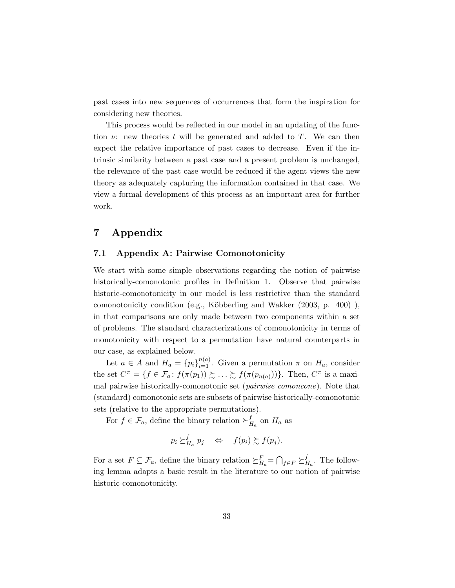past cases into new sequences of occurrences that form the inspiration for considering new theories.

This process would be reflected in our model in an updating of the function  $\nu$ : new theories t will be generated and added to T. We can then expect the relative importance of past cases to decrease. Even if the intrinsic similarity between a past case and a present problem is unchanged, the relevance of the past case would be reduced if the agent views the new theory as adequately capturing the information contained in that case. We view a formal development of this process as an important area for further work.

# 7 Appendix

### 7.1 Appendix A: Pairwise Comonotonicity

We start with some simple observations regarding the notion of pairwise historically-comonotonic profiles in Definition 1. Observe that pairwise historic-comonotonicity in our model is less restrictive than the standard comonotonicity condition (e.g., Köbberling and Wakker  $(2003, p. 400)$ ), in that comparisons are only made between two components within a set of problems. The standard characterizations of comonotonicity in terms of monotonicity with respect to a permutation have natural counterparts in our case, as explained below.

Let  $a \in A$  and  $H_a = \{p_i\}_{i=1}^{n(a)}$ . Given a permutation  $\pi$  on  $H_a$ , consider the set  $C^{\pi} = \{ f \in \mathcal{F}_a \colon f(\pi(p_1)) \succsim \ldots \succsim f(\pi(p_{n(a)})) \}.$  Then,  $C^{\pi}$  is a maximal pairwise historically-comonotonic set (pairwise comoncone). Note that (standard) comonotonic sets are subsets of pairwise historically-comonotonic sets (relative to the appropriate permutations).

For  $f \in \mathcal{F}_a$ , define the binary relation  $\succeq^f_I$  $H_a$  on  $H_a$  as

$$
p_i \succeq_{H_a}^f p_j \quad \Leftrightarrow \quad f(p_i) \succsim f(p_j).
$$

For a set  $F \subseteq \mathcal{F}_a$ , define the binary relation  $\succeq^F_{H_a} = \bigcap_{f \in F} \succeq^f_{F_a}$  $_{H_a}^J$ . The following lemma adapts a basic result in the literature to our notion of pairwise historic-comonotonicity.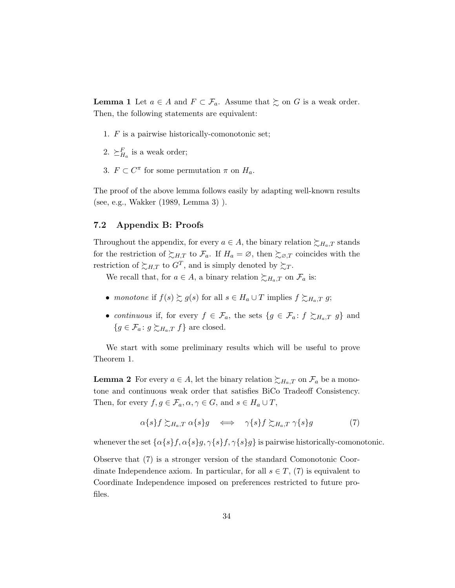**Lemma 1** Let  $a \in A$  and  $F \subset \mathcal{F}_a$ . Assume that  $\succeq$  on G is a weak order. Then, the following statements are equivalent:

- 1. F is a pairwise historically-comonotonic set;
- 2.  $\succeq_{H_a}^F$  is a weak order;
- 3.  $F \subset C^{\pi}$  for some permutation  $\pi$  on  $H_a$ .

The proof of the above lemma follows easily by adapting well-known results (see, e.g., Wakker (1989, Lemma 3) ).

### 7.2 Appendix B: Proofs

Throughout the appendix, for every  $a \in A$ , the binary relation  $\succsim_{H_a,T}$  stands for the restriction of  $\succsim_{H,T}$  to  $\mathcal{F}_a$ . If  $H_a = \varnothing$ , then  $\succsim_{\varnothing,T}$  coincides with the restriction of  $\succsim_{H,T}$  to  $G^T$ , and is simply denoted by  $\succsim_T$ .

We recall that, for  $a \in A$ , a binary relation  $\succsim_{H_a,T}$  on  $\mathcal{F}_a$  is:

- monotone if  $f(s) \succsim g(s)$  for all  $s \in H_a \cup T$  implies  $f \succsim_{H_a,T} g$ ;
- continuous if, for every  $f \in \mathcal{F}_a$ , the sets  $\{g \in \mathcal{F}_a : f \succeq_{H_a,T} g\}$  and  ${g \in \mathcal{F}_a : g \succsim_{H_a,T} f}$  are closed.

We start with some preliminary results which will be useful to prove Theorem 1.

**Lemma 2** For every  $a \in A$ , let the binary relation  $\succsim_{H_a,T}$  on  $\mathcal{F}_a$  be a monotone and continuous weak order that satisfies BiCo Tradeoff Consistency. Then, for every  $f, g \in \mathcal{F}_a, \alpha, \gamma \in G$ , and  $s \in H_a \cup T$ ,

$$
\alpha\{s\}f \succsim_{H_a,T} \alpha\{s\}g \iff \gamma\{s\}f \succsim_{H_a,T} \gamma\{s\}g \tag{7}
$$

whenever the set  $\{\alpha\{s\}f, \alpha\{s\}g, \gamma\{s\}f, \gamma\{s\}g\}$  is pairwise historically-comonotonic.

Observe that (7) is a stronger version of the standard Comonotonic Coordinate Independence axiom. In particular, for all  $s \in T$ , (7) is equivalent to Coordinate Independence imposed on preferences restricted to future profiles.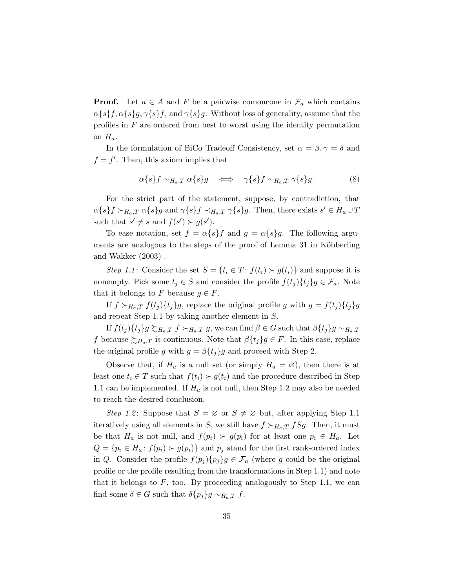**Proof.** Let  $a \in A$  and F be a pairwise comoncone in  $\mathcal{F}_a$  which contains  $\alpha\{s\}f, \alpha\{s\}g, \gamma\{s\}f, \text{ and } \gamma\{s\}g.$  Without loss of generality, assume that the profiles in  $F$  are ordered from best to worst using the identity permutation on  $H_a$ .

In the formulation of BiCo Tradeoff Consistency, set  $\alpha = \beta, \gamma = \delta$  and  $f = f'$ . Then, this axiom implies that

$$
\alpha\{s\}f \sim_{H_a,T} \alpha\{s\}g \iff \gamma\{s\}f \sim_{H_a,T} \gamma\{s\}g. \tag{8}
$$

For the strict part of the statement, suppose, by contradiction, that  $\alpha\{s\}f \succ_{H_a,T} \alpha\{s\}g$  and  $\gamma\{s\}f \prec_{H_a,T} \gamma\{s\}g$ . Then, there exists  $s' \in H_a \cup T$ such that  $s' \neq s$  and  $f(s') \succ g(s')$ .

To ease notation, set  $f = \alpha \{s\} f$  and  $g = \alpha \{s\} g$ . The following arguments are analogous to the steps of the proof of Lemma 31 in Köbberling and Wakker (2003) .

Step 1.1: Consider the set  $S = \{t_i \in T : f(t_i) \succ g(t_i)\}\$ and suppose it is nonempty. Pick some  $t_j \in S$  and consider the profile  $f(t_j)\{t_j\}$  $g \in \mathcal{F}_a$ . Note that it belongs to F because  $g \in F$ .

If  $f \succ_{H_a,T} f(t_j) \{t_j\} g$ , replace the original profile g with  $g = f(t_j) \{t_j\} g$ and repeat Step 1.1 by taking another element in S.

If  $f(t_j)\{t_j\}$ g  $\succsim_{H_a,T} f \succ_{H_a,T} g$ , we can find  $\beta \in G$  such that  $\beta \{t_j\}$ g  $\sim_{H_a,T}$ f because  $\succsim_{H_a,T}$  is continuous. Note that  $\beta\{t_j\}$  $g \in F$ . In this case, replace the original profile g with  $g = \beta \{t_i\}g$  and proceed with Step 2.

Observe that, if  $H_a$  is a null set (or simply  $H_a = \emptyset$ ), then there is at least one  $t_i \in T$  such that  $f(t_i) \succ g(t_i)$  and the procedure described in Step 1.1 can be implemented. If  $H_a$  is not null, then Step 1.2 may also be needed to reach the desired conclusion.

Step 1.2: Suppose that  $S = \emptyset$  or  $S \neq \emptyset$  but, after applying Step 1.1 iteratively using all elements in S, we still have  $f \succ_{H_a,T} fSg$ . Then, it must be that  $H_a$  is not null, and  $f(p_i) > g(p_i)$  for at least one  $p_i \in H_a$ . Let  $Q = \{p_i \in H_a: f(p_i) \succ g(p_i)\}\$ and  $p_j$  stand for the first rank-ordered index in Q. Consider the profile  $f(p_i) \{p_i\} g \in \mathcal{F}_a$  (where g could be the original profile or the profile resulting from the transformations in Step 1.1) and note that it belongs to  $F$ , too. By proceeding analogously to Step 1.1, we can find some  $\delta \in G$  such that  $\delta \{p_i\}$ g ∼ $H_a$ ,  $f$ .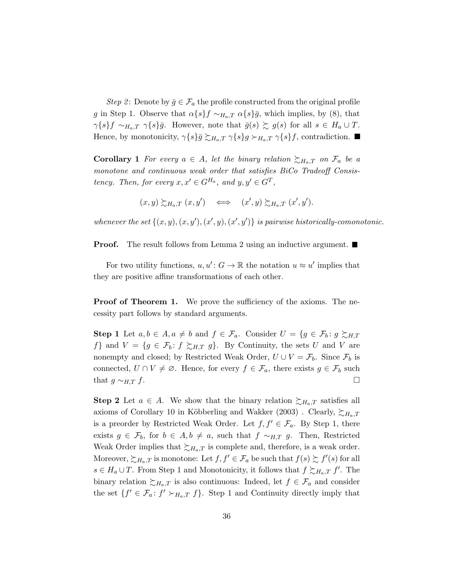Step 2: Denote by  $\bar{g} \in \mathcal{F}_a$  the profile constructed from the original profile g in Step 1. Observe that  $\alpha\{s\}f \sim_{H_a,T} \alpha\{s\}\bar{g}$ , which implies, by (8), that  $\gamma\{s\}f \sim_{H_a,T} \gamma\{s\}\bar{g}$ . However, note that  $\bar{g}(s) \succsim g(s)$  for all  $s \in H_a \cup T$ . Hence, by monotonicity,  $\gamma \{s\}\overline{g} \succsim_{H_a,T} \gamma \{s\} g \succ_{H_a,T} \gamma \{s\} f$ , contradiction.

**Corollary 1** For every  $a \in A$ , let the binary relation  $\succsim_{H_a,T}$  on  $\mathcal{F}_a$  be a monotone and continuous weak order that satisfies BiCo Tradeoff Consistency. Then, for every  $x, x' \in G^{H_a}$ , and  $y, y' \in G^T$ ,

$$
(x,y) \succsim_{H_a,T} (x,y') \iff (x',y) \succsim_{H_a,T} (x',y').
$$

whenever the set  $\{(x, y), (x, y'), (x', y), (x', y')\}$  is pairwise historically-comonotonic.

**Proof.** The result follows from Lemma 2 using an inductive argument.  $\blacksquare$ 

For two utility functions,  $u, u' : G \to \mathbb{R}$  the notation  $u \approx u'$  implies that they are positive affine transformations of each other.

**Proof of Theorem 1.** We prove the sufficiency of the axioms. The necessity part follows by standard arguments.

**Step 1** Let  $a, b \in A, a \neq b$  and  $f \in \mathcal{F}_a$ . Consider  $U = \{g \in \mathcal{F}_b : g \succeq_{H,T}\}$ f} and  $V = \{g \in \mathcal{F}_b : f \succeq_{H,T} g\}$ . By Continuity, the sets U and V are nonempty and closed; by Restricted Weak Order,  $U \cup V = \mathcal{F}_b$ . Since  $\mathcal{F}_b$  is connected,  $U \cap V \neq \emptyset$ . Hence, for every  $f \in \mathcal{F}_a$ , there exists  $g \in \mathcal{F}_b$  such that  $g \sim_{H,T} f$ .

**Step 2** Let  $a \in A$ . We show that the binary relation  $\succsim_{H_a,T}$  satisfies all axioms of Corollary 10 in Köbberling and Wakker (2003). Clearly,  $\succsim_{H_a,T}$ is a preorder by Restricted Weak Order. Let  $f, f' \in \mathcal{F}_a$ . By Step 1, there exists  $g \in \mathcal{F}_b$ , for  $b \in A, b \neq a$ , such that  $f \sim_{H,T} g$ . Then, Restricted Weak Order implies that  $\succsim_{H_a,T}$  is complete and, therefore, is a weak order. Moreover,  $\succsim_{H_a,T}$  is monotone: Let  $f, f' \in \mathcal{F}_a$  be such that  $f(s) \succsim f'(s)$  for all  $s \in H_a \cup T$ . From Step 1 and Monotonicity, it follows that  $f \succsim_{H_a,T} f'$ . The binary relation  $\succsim_{H_a,T}$  is also continuous: Indeed, let  $f \in \mathcal{F}_a$  and consider the set  $\{f' \in \mathcal{F}_a : f' \succ_{H_a,T} f\}$ . Step 1 and Continuity directly imply that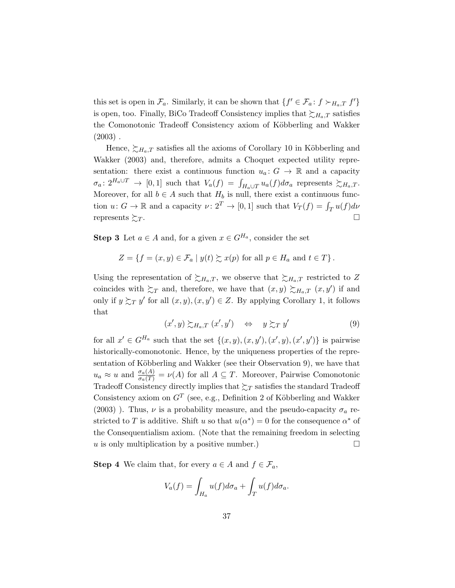this set is open in  $\mathcal{F}_a$ . Similarly, it can be shown that  $\{f' \in \mathcal{F}_a : f \succ_{H_a,T} f'\}$ is open, too. Finally, BiCo Tradeoff Consistency implies that  $\sum_{H_a,T}$  satisfies the Comonotonic Tradeoff Consistency axiom of Köbberling and Wakker  $(2003)$ .

Hence,  $\succsim_{H_a,T}$  satisfies all the axioms of Corollary 10 in Köbberling and Wakker (2003) and, therefore, admits a Choquet expected utility representation: there exist a continuous function  $u_a: G \to \mathbb{R}$  and a capacity  $\sigma_a: 2^{H_a \cup T} \to [0,1]$  such that  $V_a(f) = \int_{H_a \cup T} u_a(f) d\sigma_a$  represents  $\succsim_{H_a, T}$ . Moreover, for all  $b \in A$  such that  $H_b$  is null, there exist a continuous function  $u: G \to \mathbb{R}$  and a capacity  $\nu: 2^T \to [0, 1]$  such that  $V_T(f) = \int_T u(f) d\nu$ represents  $\sum_{T}$ .

**Step 3** Let  $a \in A$  and, for a given  $x \in G^{H_a}$ , consider the set

$$
Z = \{ f = (x, y) \in \mathcal{F}_a \mid y(t) \succsim x(p) \text{ for all } p \in H_a \text{ and } t \in T \}.
$$

Using the representation of  $\succsim_{H_a,T}$ , we observe that  $\succsim_{H_a,T}$  restricted to Z coincides with  $\sum_{T}$  and, therefore, we have that  $(x, y) \sum_{H_a, T} (x, y')$  if and only if  $y \succsim_T y'$  for all  $(x, y), (x, y') \in Z$ . By applying Corollary 1, it follows that

$$
(x',y) \succsim_{H_a,T} (x',y') \quad \Leftrightarrow \quad y \succsim_T y'
$$
 (9)

for all  $x' \in G^{H_a}$  such that the set  $\{(x, y), (x, y'), (x', y), (x', y')\}$  is pairwise historically-comonotonic. Hence, by the uniqueness properties of the representation of Köbberling and Wakker (see their Observation 9), we have that  $u_a \approx u$  and  $\frac{\sigma_a(A)}{\sigma_a(T)} = \nu(A)$  for all  $A \subseteq T$ . Moreover, Pairwise Comonotonic Tradeoff Consistency directly implies that  $\gtrsim_T$  satisfies the standard Tradeoff Consistency axiom on  $G<sup>T</sup>$  (see, e.g., Definition 2 of Köbberling and Wakker (2003)). Thus,  $\nu$  is a probability measure, and the pseudo-capacity  $\sigma_a$  restricted to T is additive. Shift u so that  $u(\alpha^*) = 0$  for the consequence  $\alpha^*$  of the Consequentialism axiom. (Note that the remaining freedom in selecting u is only multiplication by a positive number.)  $\Box$ 

**Step 4** We claim that, for every  $a \in A$  and  $f \in \mathcal{F}_a$ ,

$$
V_a(f) = \int_{H_a} u(f) d\sigma_a + \int_T u(f) d\sigma_a.
$$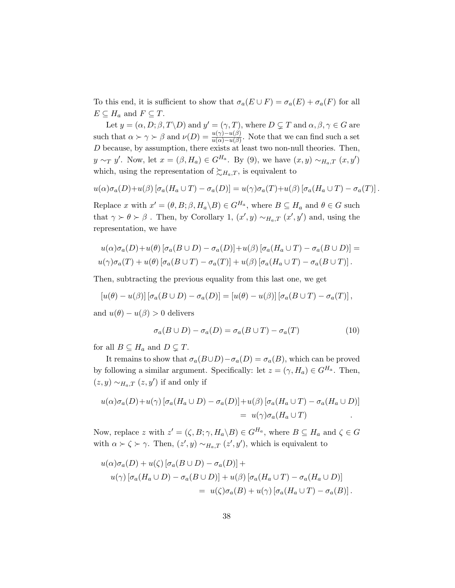To this end, it is sufficient to show that  $\sigma_a(E \cup F) = \sigma_a(E) + \sigma_a(F)$  for all  $E \subseteq H_a$  and  $F \subseteq T$ .

Let  $y = (\alpha, D; \beta, T \backslash D)$  and  $y' = (\gamma, T)$ , where  $D \subsetneq T$  and  $\alpha, \beta, \gamma \in G$  are such that  $\alpha \succ \gamma \succ \beta$  and  $\nu(D) = \frac{u(\gamma) - u(\beta)}{u(\alpha) - u(\beta)}$ . Note that we can find such a set D because, by assumption, there exists at least two non-null theories. Then,  $y \sim_T y'$ . Now, let  $x = (\beta, H_a) \in G^{H_a}$ . By (9), we have  $(x, y) \sim_{H_a, T} (x, y')$ which, using the representation of  $\succsim_{H_a,T}$ , is equivalent to

$$
u(\alpha)\sigma_a(D)+u(\beta)\left[\sigma_a(H_a\cup T)-\sigma_a(D)\right]=u(\gamma)\sigma_a(T)+u(\beta)\left[\sigma_a(H_a\cup T)-\sigma_a(T)\right].
$$

Replace x with  $x' = (\theta, B; \beta, H_a \backslash B) \in G^{H_a}$ , where  $B \subseteq H_a$  and  $\theta \in G$  such that  $\gamma \succ \theta \succ \beta$ . Then, by Corollary 1,  $(x', y) \sim_{H_a, T} (x', y')$  and, using the representation, we have

$$
u(\alpha)\sigma_a(D) + u(\theta) [\sigma_a(B \cup D) - \sigma_a(D)] + u(\beta) [\sigma_a(H_a \cup T) - \sigma_a(B \cup D)] =
$$
  

$$
u(\gamma)\sigma_a(T) + u(\theta) [\sigma_a(B \cup T) - \sigma_a(T)] + u(\beta) [\sigma_a(H_a \cup T) - \sigma_a(B \cup T)].
$$

Then, subtracting the previous equality from this last one, we get

$$
[u(\theta) - u(\beta)] [\sigma_a(B \cup D) - \sigma_a(D)] = [u(\theta) - u(\beta)] [\sigma_a(B \cup T) - \sigma_a(T)],
$$

and  $u(\theta) - u(\beta) > 0$  delivers

$$
\sigma_a(B \cup D) - \sigma_a(D) = \sigma_a(B \cup T) - \sigma_a(T) \tag{10}
$$

for all  $B \subseteq H_a$  and  $D \subsetneq T$ .

It remains to show that  $\sigma_a(B\cup D)-\sigma_a(D)=\sigma_a(B)$ , which can be proved by following a similar argument. Specifically: let  $z = (\gamma, H_a) \in G^{H_a}$ . Then,  $(z, y) \sim_{H_a, T} (z, y')$  if and only if

$$
u(\alpha)\sigma_a(D) + u(\gamma) [\sigma_a(H_a \cup D) - \sigma_a(D)] + u(\beta) [\sigma_a(H_a \cup T) - \sigma_a(H_a \cup D)]
$$
  
= 
$$
u(\gamma)\sigma_a(H_a \cup T)
$$

Now, replace z with  $z' = (\zeta, B; \gamma, H_a \backslash B) \in G^{H_a}$ , where  $B \subseteq H_a$  and  $\zeta \in G$ with  $\alpha \succ \zeta \succ \gamma$ . Then,  $(z', y) \sim_{H_a, T} (z', y')$ , which is equivalent to

$$
u(\alpha)\sigma_a(D) + u(\zeta) [\sigma_a(B \cup D) - \sigma_a(D)] +
$$
  
\n
$$
u(\gamma) [\sigma_a(H_a \cup D) - \sigma_a(B \cup D)] + u(\beta) [\sigma_a(H_a \cup T) - \sigma_a(H_a \cup D)]
$$
  
\n
$$
= u(\zeta)\sigma_a(B) + u(\gamma) [\sigma_a(H_a \cup T) - \sigma_a(B)].
$$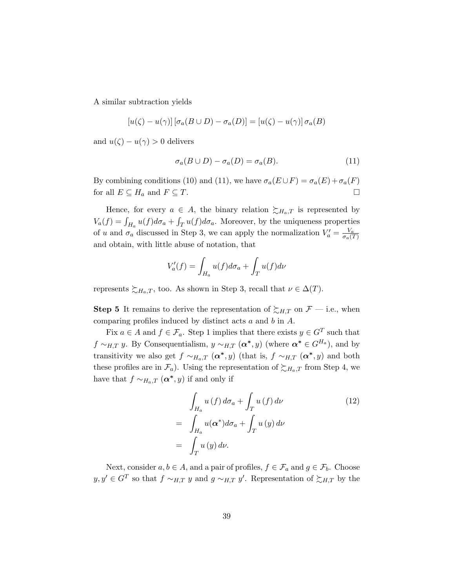A similar subtraction yields

$$
[u(\zeta) - u(\gamma)] [\sigma_a(B \cup D) - \sigma_a(D)] = [u(\zeta) - u(\gamma)] \sigma_a(B)
$$

and  $u(\zeta) - u(\gamma) > 0$  delivers

$$
\sigma_a(B \cup D) - \sigma_a(D) = \sigma_a(B). \tag{11}
$$

By combining conditions (10) and (11), we have  $\sigma_a(E \cup F) = \sigma_a(E) + \sigma_a(F)$ for all  $E \subseteq H_a$  and  $F \subseteq T$ .

Hence, for every  $a \in A$ , the binary relation  $\succsim H_a$ , is represented by  $V_a(f) = \int_{H_a} u(f) d\sigma_a + \int_T u(f) d\sigma_a$ . Moreover, by the uniqueness properties of u and  $\sigma_a$  discussed in Step 3, we can apply the normalization  $V'_a = \frac{V_a}{\sigma_a}$  $\sigma_a(T)$ and obtain, with little abuse of notation, that

$$
V_a'(f) = \int_{H_a} u(f) d\sigma_a + \int_T u(f) d\nu
$$

represents  $\succsim_{H_a,T}$ , too. As shown in Step 3, recall that  $\nu \in \Delta(T)$ .

**Step 5** It remains to derive the representation of  $\succsim_{H,T}$  on  $\mathcal{F}$  — i.e., when comparing profiles induced by distinct acts a and b in A.

Fix  $a \in A$  and  $f \in \mathcal{F}_a$ . Step 1 implies that there exists  $y \in G^T$  such that  $f \sim_{H,T} y$ . By Consequentialism,  $y \sim_{H,T} (\alpha^*, y)$  (where  $\alpha^* \in G^{H_a}$ ), and by transitivity we also get  $f \sim_{H_a,T} (\alpha^*,y)$  (that is,  $f \sim_{H,T} (\alpha^*,y)$  and both these profiles are in  $\mathcal{F}_a$ . Using the representation of  $\succsim_{H_a,T}$  from Step 4, we have that  $f \sim_{H_a,T} (\alpha^*,y)$  if and only if

$$
\int_{H_a} u(f) d\sigma_a + \int_T u(f) d\nu
$$
\n
$$
= \int_{H_a} u(\alpha^*) d\sigma_a + \int_T u(y) d\nu
$$
\n
$$
= \int_T u(y) d\nu.
$$
\n(12)

Next, consider  $a, b \in A$ , and a pair of profiles,  $f \in \mathcal{F}_a$  and  $g \in \mathcal{F}_b$ . Choose  $y, y' \in G^T$  so that  $f \sim_{H,T} y$  and  $g \sim_{H,T} y'$ . Representation of  $\succsim_{H,T}$  by the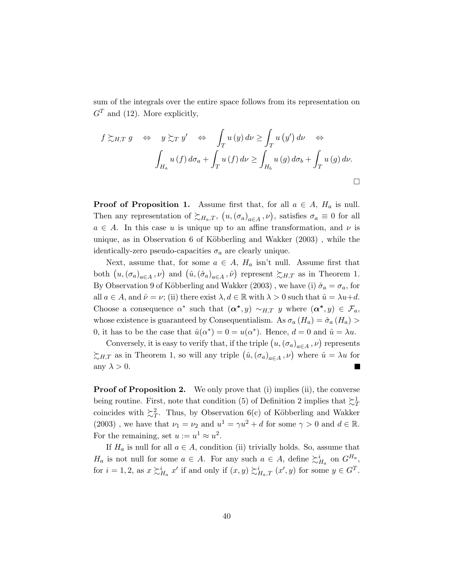sum of the integrals over the entire space follows from its representation on  $G<sup>T</sup>$  and (12). More explicitly,

$$
f \succsim_{H,T} g \Leftrightarrow y \succsim_{T} y' \Leftrightarrow \int_{T} u(y) \, d\nu \ge \int_{T} u(y') \, d\nu \Leftrightarrow
$$

$$
\int_{H_{a}} u(f) \, d\sigma_{a} + \int_{T} u(f) \, d\nu \ge \int_{H_{b}} u(g) \, d\sigma_{b} + \int_{T} u(g) \, d\nu.
$$

**Proof of Proposition 1.** Assume first that, for all  $a \in A$ ,  $H_a$  is null. Then any representation of  $\succsim_{H_a,T} (u, (\sigma_a)_{a \in A}, \nu)$ , satisfies  $\sigma_a \equiv 0$  for all  $a \in A$ . In this case u is unique up to an affine transformation, and  $\nu$  is unique, as in Observation 6 of Köbberling and Wakker  $(2003)$ , while the identically-zero pseudo-capacities  $\sigma_a$  are clearly unique.

Next, assume that, for some  $a \in A$ ,  $H_a$  isn't null. Assume first that both  $(u, (\sigma_a)_{a \in A}, \nu)$  and  $(\hat{u}, (\hat{\sigma}_a)_{a \in A}, \hat{\nu})$  represent  $\succsim_{H,T}$  as in Theorem 1. By Observation 9 of Köbberling and Wakker (2003), we have (i)  $\hat{\sigma}_a = \sigma_a$ , for all  $a \in A$ , and  $\hat{\nu} = \nu$ ; (ii) there exist  $\lambda, d \in \mathbb{R}$  with  $\lambda > 0$  such that  $\hat{u} = \lambda u + d$ . Choose a consequence  $\alpha^*$  such that  $(\alpha^*, y) \sim_{H,T} y$  where  $(\alpha^*, y) \in \mathcal{F}_a$ , whose existence is guaranteed by Consequentialism. As  $\sigma_a(H_a) = \hat{\sigma}_a(H_a)$ 0, it has to be the case that  $\hat{u}(\alpha^*) = 0 = u(\alpha^*)$ . Hence,  $d = 0$  and  $\hat{u} = \lambda u$ .

Conversely, it is easy to verify that, if the triple  $(u, (\sigma_a)_{a \in A}, \nu)$  represents  $\succsim_{H,T}$  as in Theorem 1, so will any triple  $(\hat{u}, (\sigma_a)_{a \in A}, \nu)$  where  $\hat{u} = \lambda u$  for any  $\lambda > 0$ .

**Proof of Proposition 2.** We only prove that (i) implies (ii), the converse being routine. First, note that condition (5) of Definition 2 implies that  $\succsim_T^1$ coincides with  $\sum_{T}^{2}$ . Thus, by Observation 6(c) of Köbberling and Wakker (2003), we have that  $\nu_1 = \nu_2$  and  $u^1 = \gamma u^2 + d$  for some  $\gamma > 0$  and  $d \in \mathbb{R}$ . For the remaining, set  $u := u^1 \approx u^2$ .

If  $H_a$  is null for all  $a \in A$ , condition (ii) trivially holds. So, assume that  $H_a$  is not null for some  $a \in A$ . For any such  $a \in A$ , define  $\succsim^i_{H_a}$  on  $G^{H_a}$ , for  $i = 1, 2$ , as  $x \succsim_{H_a}^i x'$  if and only if  $(x, y) \succsim_{H_a, T}^i (x', y)$  for some  $y \in G^T$ .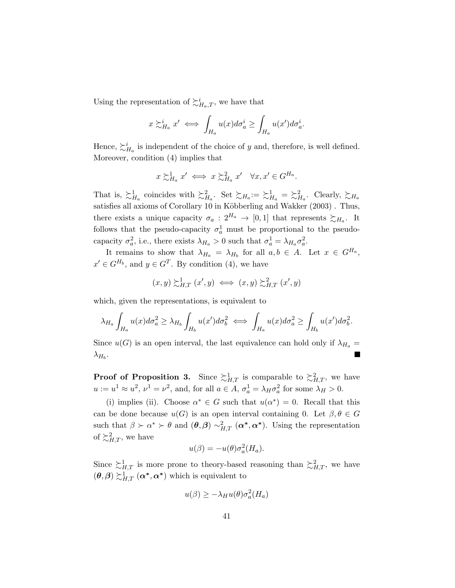Using the representation of  $\succsim^i_{H_a,T}$ , we have that

$$
x \gtrsim_{H_a}^i x' \iff \int_{H_a} u(x) d\sigma_a^i \ge \int_{H_a} u(x') d\sigma_a^i.
$$

Hence,  $\succsim_{H_a}^i$  is independent of the choice of y and, therefore, is well defined. Moreover, condition (4) implies that

$$
x \succsim^1_{H_a} x' \iff x \succsim^2_{H_a} x' \quad \forall x, x' \in G^{H_a}.
$$

That is,  $\succsim_{H_a}^1$  coincides with  $\succsim_{H_a}^2$ . Set  $\succsim_{H_a}^1 := \succsim_{H_a}^1$ . Clearly,  $\succsim_{H_a}$ satisfies all axioms of Corollary 10 in Köbberling and Wakker (2003). Thus, there exists a unique capacity  $\sigma_a: 2^{H_a} \to [0,1]$  that represents  $\succsim_{H_a}$ . It follows that the pseudo-capacity  $\sigma_a^1$  must be proportional to the pseudocapacity  $\sigma_a^2$ , i.e., there exists  $\lambda_{H_a} > 0$  such that  $\sigma_a^1 = \lambda_{H_a} \sigma_a^2$ .

It remains to show that  $\lambda_{H_a} = \lambda_{H_b}$  for all  $a, b \in A$ . Let  $x \in G^{H_a}$ ,  $x' \in G^{H_b}$ , and  $y \in G^T$ . By condition (4), we have

$$
(x,y) \succsim_{H,T}^1 (x',y) \iff (x,y) \succsim_{H,T}^2 (x',y)
$$

which, given the representations, is equivalent to

$$
\lambda_{H_a} \int_{H_a} u(x) d\sigma_a^2 \ge \lambda_{H_b} \int_{H_b} u(x') d\sigma_b^2 \iff \int_{H_a} u(x) d\sigma_a^2 \ge \int_{H_b} u(x') d\sigma_b^2.
$$

Since  $u(G)$  is an open interval, the last equivalence can hold only if  $\lambda_{H_a}$  =  $\lambda_{H_b}$ .

**Proof of Proposition 3.** Since  $\sum_{H,T}^1$  is comparable to  $\sum_{H,T}^2$ , we have  $u := u^1 \approx u^2$ ,  $\nu^1 = \nu^2$ , and, for all  $a \in A$ ,  $\sigma_a^1 = \lambda_H \sigma_a^2$  for some  $\lambda_H > 0$ .

(i) implies (ii). Choose  $\alpha^* \in G$  such that  $u(\alpha^*) = 0$ . Recall that this can be done because  $u(G)$  is an open interval containing 0. Let  $\beta, \theta \in G$ such that  $\beta \succ \alpha^* \succ \theta$  and  $(\theta, \beta) \sim_{H,T}^2 (\alpha^*, \alpha^*)$ . Using the representation of  $\sum_{H,T}^2$ , we have

$$
u(\beta) = -u(\theta)\sigma_a^2(H_a).
$$

Since  $\sum_{H,T}^1$  is more prone to theory-based reasoning than  $\sum_{H,T}^2$ , we have  $(\theta, \beta) \succsim^1_{H,T} (\alpha^*, \alpha^*)$  which is equivalent to

$$
u(\beta) \ge -\lambda_H u(\theta) \sigma_a^2(H_a)
$$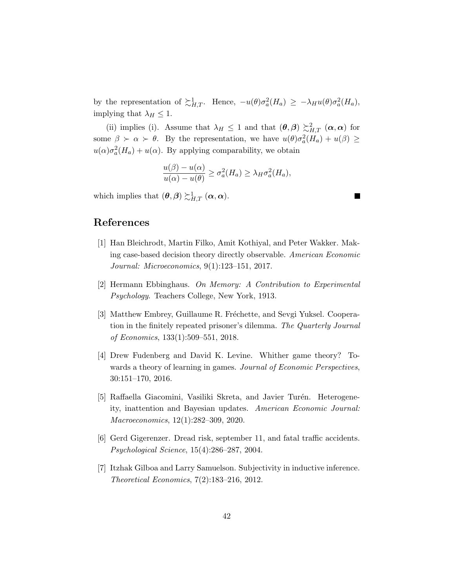by the representation of  $\sum_{H,T}^1$ . Hence,  $-u(\theta)\sigma_a^2(H_a) \geq -\lambda_H u(\theta)\sigma_a^2(H_a)$ , implying that  $\lambda_H \leq 1$ .

(ii) implies (i). Assume that  $\lambda_H \leq 1$  and that  $(\theta, \beta) \gtrsim_{H,T}^2 (\alpha, \alpha)$  for some  $\beta \succ \alpha \succ \theta$ . By the representation, we have  $u(\theta)\sigma_a^2(H_a) + u(\beta) \geq$  $u(\alpha)\sigma_a^2(H_a) + u(\alpha)$ . By applying comparability, we obtain

$$
\frac{u(\beta) - u(\alpha)}{u(\alpha) - u(\theta)} \ge \sigma_a^2(H_a) \ge \lambda_H \sigma_a^2(H_a),
$$

which implies that  $(\theta, \beta) \succsim^1_{H,T} (\alpha, \alpha)$ .

# References

- [1] Han Bleichrodt, Martin Filko, Amit Kothiyal, and Peter Wakker. Making case-based decision theory directly observable. American Economic Journal: Microeconomics, 9(1):123–151, 2017.
- [2] Hermann Ebbinghaus. On Memory: A Contribution to Experimental Psychology. Teachers College, New York, 1913.
- [3] Matthew Embrey, Guillaume R. Fréchette, and Sevgi Yuksel. Cooperation in the finitely repeated prisoner's dilemma. The Quarterly Journal of Economics, 133(1):509–551, 2018.
- [4] Drew Fudenberg and David K. Levine. Whither game theory? Towards a theory of learning in games. Journal of Economic Perspectives, 30:151–170, 2016.
- [5] Raffaella Giacomini, Vasiliki Skreta, and Javier Turén. Heterogeneity, inattention and Bayesian updates. American Economic Journal: Macroeconomics, 12(1):282–309, 2020.
- [6] Gerd Gigerenzer. Dread risk, september 11, and fatal traffic accidents. Psychological Science, 15(4):286–287, 2004.
- [7] Itzhak Gilboa and Larry Samuelson. Subjectivity in inductive inference. Theoretical Economics, 7(2):183–216, 2012.

I.